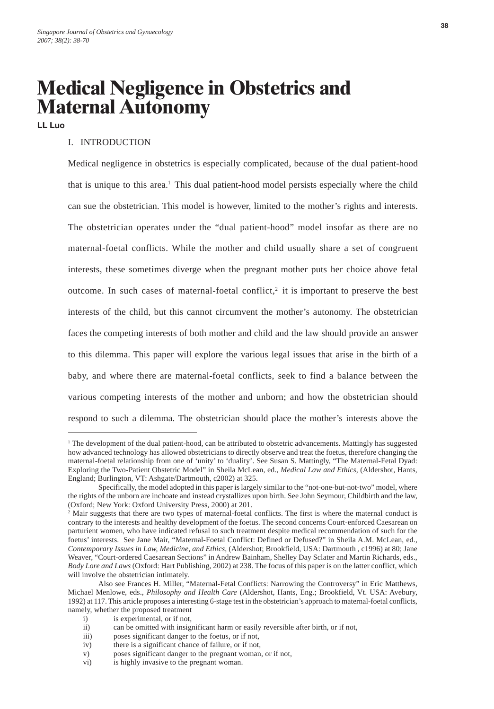# **Medical Negligence in Obstetrics and Maternal Autonomy**

**LL Luo**

# I. INTRODUCTION

Medical negligence in obstetrics is especially complicated, because of the dual patient-hood that is unique to this area.1 This dual patient-hood model persists especially where the child can sue the obstetrician. This model is however, limited to the mother's rights and interests. The obstetrician operates under the "dual patient-hood" model insofar as there are no maternal-foetal conflicts. While the mother and child usually share a set of congruent interests, these sometimes diverge when the pregnant mother puts her choice above fetal outcome. In such cases of maternal-foetal conflict, $2$  it is important to preserve the best interests of the child, but this cannot circumvent the mother's autonomy. The obstetrician faces the competing interests of both mother and child and the law should provide an answer to this dilemma. This paper will explore the various legal issues that arise in the birth of a baby, and where there are maternal-foetal conflicts, seek to find a balance between the various competing interests of the mother and unborn; and how the obstetrician should respond to such a dilemma. The obstetrician should place the mother's interests above the

<sup>&</sup>lt;sup>1</sup> The development of the dual patient-hood, can be attributed to obstetric advancements. Mattingly has suggested how advanced technology has allowed obstetricians to directly observe and treat the foetus, therefore changing the maternal-foetal relationship from one of 'unity' to 'duality'. See Susan S. Mattingly, "The Maternal-Fetal Dyad: Exploring the Two-Patient Obstetric Model" in Sheila McLean, ed., *Medical Law and Ethics*, (Aldershot, Hants, England; Burlington, VT: Ashgate/Dartmouth, c2002) at 325.

Specifically, the model adopted in this paper is largely similar to the "not-one-but-not-two" model, where the rights of the unborn are inchoate and instead crystallizes upon birth. See John Seymour, Childbirth and the law, (Oxford; New York: Oxford University Press, 2000) at 201.

<sup>&</sup>lt;sup>2</sup> Mair suggests that there are two types of maternal-foetal conflicts. The first is where the maternal conduct is contrary to the interests and healthy development of the foetus. The second concerns Court-enforced Caesarean on parturient women, who have indicated refusal to such treatment despite medical recommendation of such for the foetus' interests. See Jane Mair, "Maternal-Foetal Conflict: Defined or Defused?" in Sheila A.M. McLean, ed., *Contemporary Issues in Law, Medicine, and Ethics*, (Aldershot; Brookfield, USA: Dartmouth , c1996) at 80; Jane Weaver, "Court-ordered Caesarean Sections" in Andrew Bainham, Shelley Day Sclater and Martin Richards, eds., *Body Lore and Laws* (Oxford: Hart Publishing, 2002) at 238. The focus of this paper is on the latter conflict, which will involve the obstetrician intimately.

Also see Frances H. Miller, "Maternal-Fetal Conflicts: Narrowing the Controversy" in Eric Matthews, Michael Menlowe, eds., *Philosophy and Health Care* (Aldershot, Hants, Eng.; Brookfield, Vt. USA: Avebury, 1992) at 117. This article proposes a interesting 6-stage test in the obstetrician's approach to maternal-foetal conflicts, namely, whether the proposed treatment

i) is experimental, or if not,

ii) can be omitted with insignificant harm or easily reversible after birth, or if not,

iii) poses significant danger to the foetus, or if not,

iv) there is a significant chance of failure, or if not,

v) poses significant danger to the pregnant woman, or if not,

vi) is highly invasive to the pregnant woman.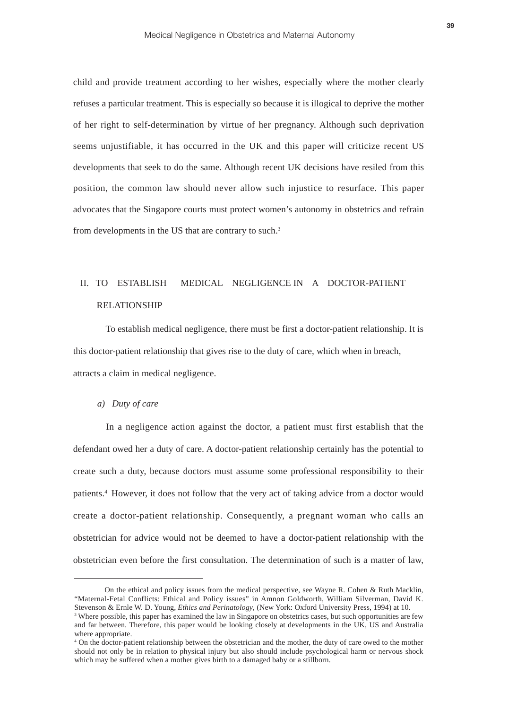child and provide treatment according to her wishes, especially where the mother clearly refuses a particular treatment. This is especially so because it is illogical to deprive the mother of her right to self-determination by virtue of her pregnancy. Although such deprivation seems unjustifiable, it has occurred in the UK and this paper will criticize recent US developments that seek to do the same. Although recent UK decisions have resiled from this position, the common law should never allow such injustice to resurface. This paper advocates that the Singapore courts must protect women's autonomy in obstetrics and refrain from developments in the US that are contrary to such.3

# II. TO ESTABLISH MEDICAL NEGLIGENCE IN A DOCTOR-PATIENT RELATIONSHIP

 To establish medical negligence, there must be first a doctor-patient relationship. It is this doctor-patient relationship that gives rise to the duty of care, which when in breach, attracts a claim in medical negligence.

#### *a) Duty of care*

In a negligence action against the doctor, a patient must first establish that the defendant owed her a duty of care. A doctor-patient relationship certainly has the potential to create such a duty, because doctors must assume some professional responsibility to their patients.4 However, it does not follow that the very act of taking advice from a doctor would create a doctor-patient relationship. Consequently, a pregnant woman who calls an obstetrician for advice would not be deemed to have a doctor-patient relationship with the obstetrician even before the first consultation. The determination of such is a matter of law,

On the ethical and policy issues from the medical perspective, see Wayne R. Cohen & Ruth Macklin, "Maternal-Fetal Conflicts: Ethical and Policy issues" in Amnon Goldworth, William Silverman, David K. Stevenson & Ernle W. D. Young, *Ethics and Perinatology*, (New York: Oxford University Press, 1994) at 10.

<sup>&</sup>lt;sup>3</sup> Where possible, this paper has examined the law in Singapore on obstetrics cases, but such opportunities are few and far between. Therefore, this paper would be looking closely at developments in the UK, US and Australia where appropriate.

<sup>&</sup>lt;sup>4</sup> On the doctor-patient relationship between the obstetrician and the mother, the duty of care owed to the mother should not only be in relation to physical injury but also should include psychological harm or nervous shock which may be suffered when a mother gives birth to a damaged baby or a stillborn.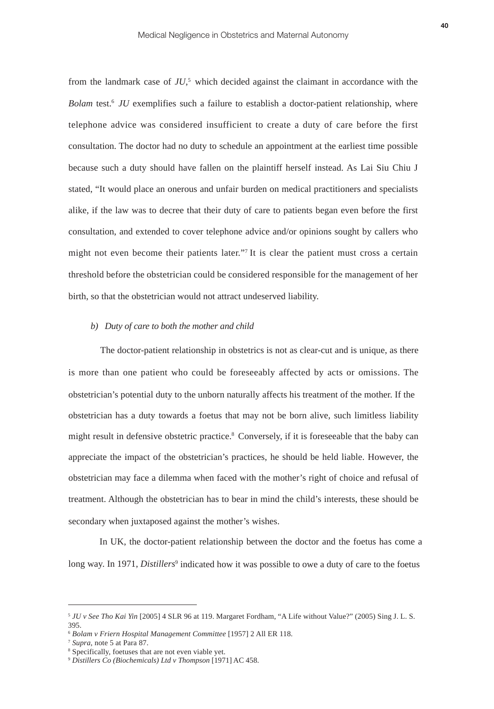from the landmark case of *JU*, <sup>5</sup> which decided against the claimant in accordance with the *Bolam* test.<sup>6</sup> *JU* exemplifies such a failure to establish a doctor-patient relationship, where telephone advice was considered insufficient to create a duty of care before the first consultation. The doctor had no duty to schedule an appointment at the earliest time possible because such a duty should have fallen on the plaintiff herself instead. As Lai Siu Chiu J stated, "It would place an onerous and unfair burden on medical practitioners and specialists alike, if the law was to decree that their duty of care to patients began even before the first consultation, and extended to cover telephone advice and/or opinions sought by callers who might not even become their patients later."7 It is clear the patient must cross a certain threshold before the obstetrician could be considered responsible for the management of her birth, so that the obstetrician would not attract undeserved liability.

# *b) Duty of care to both the mother and child*

 The doctor-patient relationship in obstetrics is not as clear-cut and is unique, as there is more than one patient who could be foreseeably affected by acts or omissions. The obstetrician's potential duty to the unborn naturally affects his treatment of the mother. If the obstetrician has a duty towards a foetus that may not be born alive, such limitless liability might result in defensive obstetric practice.<sup>8</sup> Conversely, if it is foreseeable that the baby can appreciate the impact of the obstetrician's practices, he should be held liable. However, the obstetrician may face a dilemma when faced with the mother's right of choice and refusal of treatment. Although the obstetrician has to bear in mind the child's interests, these should be secondary when juxtaposed against the mother's wishes.

In UK, the doctor-patient relationship between the doctor and the foetus has come a long way. In 1971, *Distillers*<sup>9</sup> indicated how it was possible to owe a duty of care to the foetus

<sup>5</sup> *JU v See Tho Kai Yin* [2005] 4 SLR 96 at 119. Margaret Fordham, "A Life without Value?" (2005) Sing J. L. S. 395.

<sup>6</sup> *Bolam v Friern Hospital Management Committee* [1957] 2 All ER 118.

<sup>7</sup> *Supra*, note 5 at Para 87.

<sup>8</sup> Specifically, foetuses that are not even viable yet.

<sup>9</sup> *Distillers Co (Biochemicals) Ltd v Thompson* [1971] AC 458.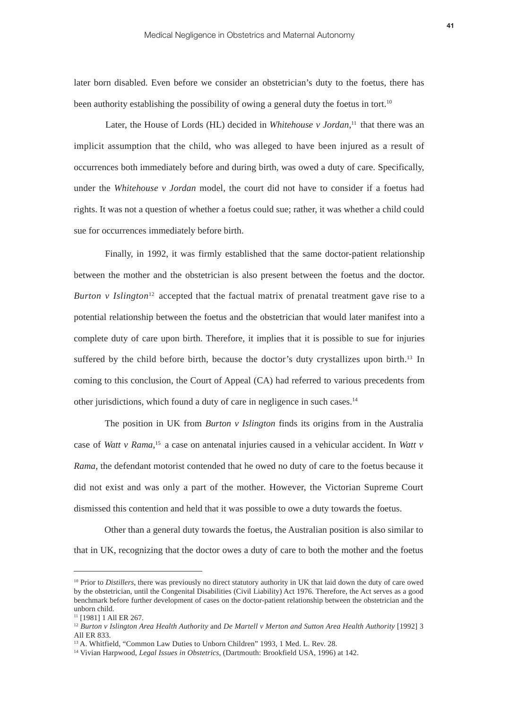later born disabled. Even before we consider an obstetrician's duty to the foetus, there has been authority establishing the possibility of owing a general duty the foetus in tort.<sup>10</sup>

Later, the House of Lords (HL) decided in *Whitehouse v Jordan*,<sup>11</sup> that there was an implicit assumption that the child, who was alleged to have been injured as a result of occurrences both immediately before and during birth, was owed a duty of care. Specifically, under the *Whitehouse v Jordan* model, the court did not have to consider if a foetus had rights. It was not a question of whether a foetus could sue; rather, it was whether a child could sue for occurrences immediately before birth.

Finally, in 1992, it was firmly established that the same doctor-patient relationship between the mother and the obstetrician is also present between the foetus and the doctor. *Burton v Islington*<sup>12</sup> accepted that the factual matrix of prenatal treatment gave rise to a potential relationship between the foetus and the obstetrician that would later manifest into a complete duty of care upon birth. Therefore, it implies that it is possible to sue for injuries suffered by the child before birth, because the doctor's duty crystallizes upon birth.<sup>13</sup> In coming to this conclusion, the Court of Appeal (CA) had referred to various precedents from other jurisdictions, which found a duty of care in negligence in such cases.14

The position in UK from *Burton v Islington* finds its origins from in the Australia case of *Watt v Rama*,<sup>15</sup> a case on antenatal injuries caused in a vehicular accident. In *Watt v Rama*, the defendant motorist contended that he owed no duty of care to the foetus because it did not exist and was only a part of the mother. However, the Victorian Supreme Court dismissed this contention and held that it was possible to owe a duty towards the foetus.

 Other than a general duty towards the foetus, the Australian position is also similar to that in UK, recognizing that the doctor owes a duty of care to both the mother and the foetus

<sup>&</sup>lt;sup>10</sup> Prior to *Distillers*, there was previously no direct statutory authority in UK that laid down the duty of care owed by the obstetrician, until the Congenital Disabilities (Civil Liability) Act 1976. Therefore, the Act serves as a good benchmark before further development of cases on the doctor-patient relationship between the obstetrician and the unborn child.

<sup>&</sup>lt;sup>11</sup> [1981] 1 All ER 267.

<sup>12</sup> *Burton v Islington Area Health Authority* and *De Martell v Merton and Sutton Area Health Authority* [1992] 3 All ER 833.

<sup>&</sup>lt;sup>13</sup> A. Whitfield, "Common Law Duties to Unborn Children" 1993, 1 Med. L. Rev. 28.

<sup>14</sup> Vivian Harpwood, *Legal Issues in Obstetrics*, (Dartmouth: Brookfield USA, 1996) at 142.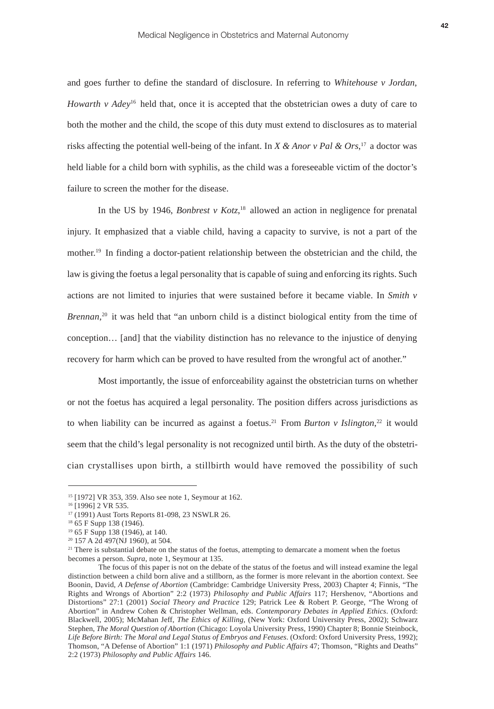and goes further to define the standard of disclosure. In referring to *Whitehouse v Jordan*, *Howarth v Adey*<sup>16</sup> held that, once it is accepted that the obstetrician owes a duty of care to both the mother and the child, the scope of this duty must extend to disclosures as to material risks affecting the potential well-being of the infant. In *X & Anor v Pal & Ors*,<sup>17</sup> a doctor was held liable for a child born with syphilis, as the child was a fore seeable victim of the doctor's failure to screen the mother for the disease.

In the US by 1946, *Bonbrest v Kotz*,<sup>18</sup> allowed an action in negligence for prenatal injury. It emphasized that a viable child, having a capacity to survive, is not a part of the mother.19 In finding a doctor-patient relationship between the obstetrician and the child, the law is giving the foetus a legal personality that is capable of suing and enforcing its rights. Such actions are not limited to injuries that were sustained before it became viable. In *Smith v Brennan*<sup>20</sup> it was held that "an unborn child is a distinct biological entity from the time of conception… [and] that the viability distinction has no relevance to the injustice of denying recovery for harm which can be proved to have resulted from the wrongful act of another."

 Most importantly, the issue of enforceability against the obstetrician turns on whether or not the foetus has acquired a legal personality. The position differs across jurisdictions as to when liability can be incurred as against a foetus.<sup>21</sup> From *Burton v Islington*,<sup>22</sup> it would seem that the child's legal personality is not recognized until birth. As the duty of the obstetrician crystallises upon birth, a stillbirth would have removed the possibility of such

<sup>15 [1972]</sup> VR 353, 359. Also see note 1, Seymour at 162.

<sup>&</sup>lt;sup>16</sup> [1996] 2 VR 535.

<sup>17 (1991)</sup> Aust Torts Reports 81-098, 23 NSWLR 26.

<sup>&</sup>lt;sup>18</sup> 65 F Supp 138 (1946).

<sup>19 65</sup> F Supp 138 (1946), at 140.

<sup>20 157</sup> A 2d 497(NJ 1960), at 504.

<sup>&</sup>lt;sup>21</sup> There is substantial debate on the status of the foetus, attempting to demarcate a moment when the foetus becomes a person. *Supra*, note 1, Seymour at 135.

The focus of this paper is not on the debate of the status of the foetus and will instead examine the legal distinction between a child born alive and a stillborn, as the former is more relevant in the abortion context. See Boonin, David, *A Defense of Abortion* (Cambridge: Cambridge University Press, 2003) Chapter 4; Finnis, "The Rights and Wrongs of Abortion" 2:2 (1973) *Philosophy and Public Affairs* 117; Hershenov, "Abortions and Distortions" 27:1 (2001) *Social Theory and Practice* 129; Patrick Lee & Robert P. George, "The Wrong of Abortion" in Andrew Cohen & Christopher Wellman, eds. *Contemporary Debates in Applied Ethics*. (Oxford: Blackwell, 2005); McMahan Jeff, *The Ethics of Killing,* (New York: Oxford University Press, 2002); Schwarz Stephen, *The Moral Question of Abortion* (Chicago: Loyola University Press, 1990) Chapter 8; Bonnie Steinbock, *Life Before Birth: The Moral and Legal Status of Embryos and Fetuses*. (Oxford: Oxford University Press, 1992); Thomson, "A Defense of Abortion" 1:1 (1971) *Philosophy and Public Affairs* 47; Thomson, "Rights and Deaths" 2:2 (1973) *Philosophy and Public Affairs* 146.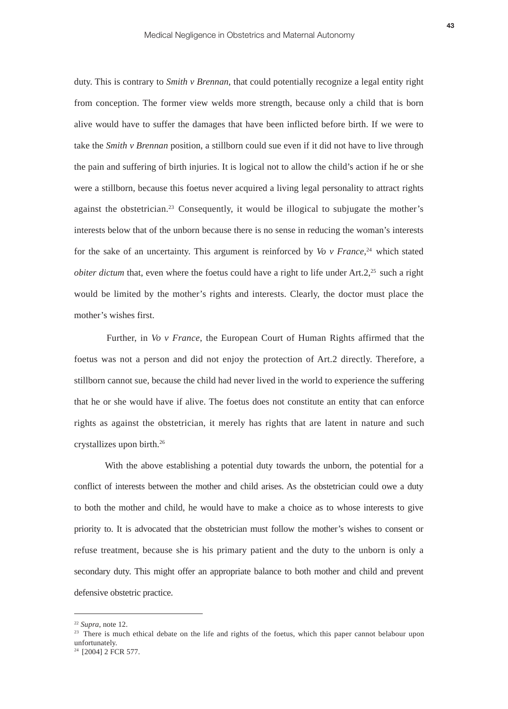duty. This is contrary to *Smith v Brennan*, that could potentially recognize a legal entity right from conception. The former view welds more strength, because only a child that is born alive would have to suffer the damages that have been inflicted before birth. If we were to take the *Smith v Brennan* position, a stillborn could sue even if it did not have to live through the pain and suffering of birth injuries. It is logical not to allow the child's action if he or she were a stillborn, because this foetus never acquired a living legal personality to attract rights against the obstetrician.23 Consequently, it would be illogical to subjugate the mother's interests below that of the unborn because there is no sense in reducing the woman's interests for the sake of an uncertainty. This argument is reinforced by *Vo*  $v$  *France*<sup> $24$ </sup> which stated *obiter dictum* that, even where the foetus could have a right to life under  $Art.2$ <sup>25</sup> such a right would be limited by the mother's rights and interests. Clearly, the doctor must place the mother's wishes first.

Further, in *Vo v France*, the European Court of Human Rights affirmed that the foetus was not a person and did not enjoy the protection of Art.2 directly. Therefore, a stillborn cannot sue, because the child had never lived in the world to experience the suffering that he or she would have if alive. The foetus does not constitute an entity that can enforce rights as against the obstetrician, it merely has rights that are latent in nature and such crystallizes upon birth.26

With the above establishing a potential duty towards the unborn, the potential for a conflict of interests between the mother and child arises. As the obstetrician could owe a duty to both the mother and child, he would have to make a choice as to whose interests to give priority to. It is advocated that the obstetrician must follow the mother's wishes to consent or refuse treatment, because she is his primary patient and the duty to the unborn is only a secondary duty. This might offer an appropriate balance to both mother and child and prevent defensive obstetric practice.

<sup>22</sup> *Supra*, note 12.

<sup>&</sup>lt;sup>23</sup> There is much ethical debate on the life and rights of the foetus, which this paper cannot belabour upon unfortunately.

<sup>&</sup>lt;sup>24</sup> [2004] 2 FCR 577.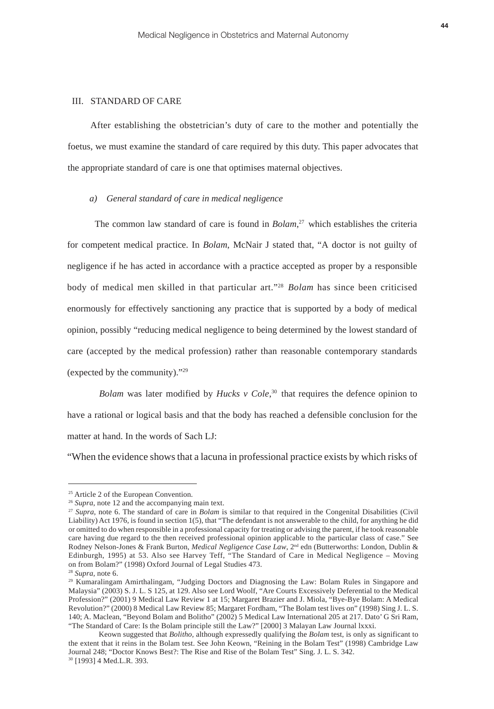# III. STANDARD OF CARE

After establishing the obstetrician's duty of care to the mother and potentially the foetus, we must examine the standard of care required by this duty. This paper advocates that the appropriate standard of care is one that optimises maternal objectives.

# *a) General standard of care in medical negligence*

The common law standard of care is found in *Bolam*<sup>27</sup> which establishes the criteria for competent medical practice. In *Bolam*, McNair J stated that, "A doctor is not guilty of negligence if he has acted in accordance with a practice accepted as proper by a responsible body of medical men skilled in that particular art."28 *Bolam* has since been criticised enormously for effectively sanctioning any practice that is supported by a body of medical opinion, possibly "reducing medical negligence to being determined by the lowest standard of care (accepted by the medical profession) rather than reasonable contemporary standards (expected by the community)."29

*Bolam* was later modified by *Hucks v Cole*,<sup>30</sup> that requires the defence opinion to have a rational or logical basis and that the body has reached a defensible conclusion for the matter at hand. In the words of Sach LJ:

"When the evidence shows that a lacuna in professional practice exists by which risks of

<sup>25</sup> Article 2 of the European Convention.

<sup>&</sup>lt;sup>26</sup> *Supra*, note 12 and the accompanying main text.

<sup>27</sup> *Supra*, note 6. The standard of care in *Bolam* is similar to that required in the Congenital Disabilities (Civil Liability) Act 1976, is found in section 1(5), that "The defendant is not answerable to the child, for anything he did or omitted to do when responsible in a professional capacity for treating or advising the parent, if he took reasonable care having due regard to the then received professional opinion applicable to the particular class of case." See Rodney Nelson-Jones & Frank Burton, *Medical Negligence Case Law*, 2<sup>nd</sup> edn (Butterworths: London, Dublin & Edinburgh, 1995) at 53. Also see Harvey Teff, "The Standard of Care in Medical Negligence – Moving on from Bolam?" (1998) Oxford Journal of Legal Studies 473.

<sup>28</sup> *Supra,* note 6.

<sup>29</sup> Kumaralingam Amirthalingam, "Judging Doctors and Diagnosing the Law: Bolam Rules in Singapore and Malaysia" (2003) S. J. L. S 125, at 129. Also see Lord Woolf, "Are Courts Excessively Deferential to the Medical Profession?" (2001) 9 Medical Law Review 1 at 15; Margaret Brazier and J. Miola, "Bye-Bye Bolam: A Medical Revolution?" (2000) 8 Medical Law Review 85; Margaret Fordham, "The Bolam test lives on" (1998) Sing J. L. S. 140; A. Maclean, "Beyond Bolam and Bolitho" (2002) 5 Medical Law International 205 at 217. Dato' G Sri Ram, "The Standard of Care: Is the Bolam principle still the Law?" [2000] 3 Malayan Law Journal lxxxi.

Keown suggested that *Bolitho*, although expressedly qualifying the *Bolam* test, is only as significant to the extent that it reins in the Bolam test. See John Keown, "Reining in the Bolam Test" (1998) Cambridge Law Journal 248; "Doctor Knows Best?: The Rise and Rise of the Bolam Test" Sing. J. L. S. 342. 30 [1993] 4 Med.L.R. 393.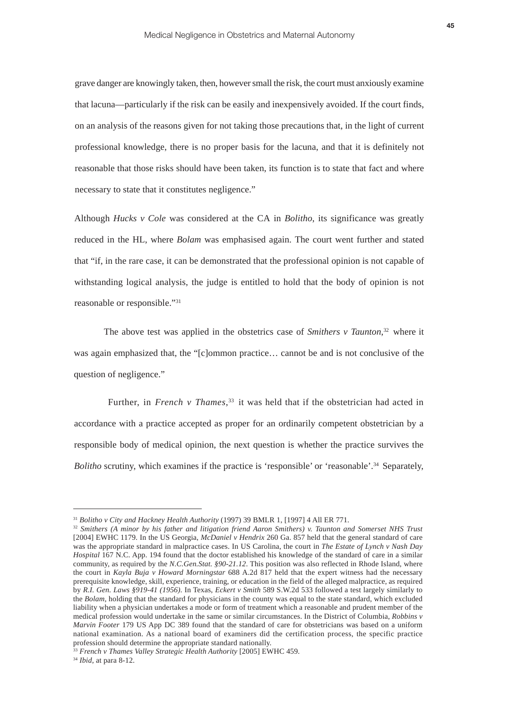grave danger are knowingly taken, then, however small the risk, the court must anxiously examine that lacuna—particularly if the risk can be easily and inexpensively avoided. If the court finds, on an analysis of the reasons given for not taking those precautions that, in the light of current professional knowledge, there is no proper basis for the lacuna, and that it is definitely not reasonable that those risks should have been taken, its function is to state that fact and where necessary to state that it constitutes negligence."

Although *Hucks v Cole* was considered at the CA in *Bolitho*, its significance was greatly reduced in the HL, where *Bolam* was emphasised again. The court went further and stated that "if, in the rare case, it can be demonstrated that the professional opinion is not capable of withstanding logical analysis, the judge is entitled to hold that the body of opinion is not reasonable or responsible."31

The above test was applied in the obstetrics case of *Smithers v Taunton*,<sup>32</sup> where it was again emphasized that, the "[c]ommon practice… cannot be and is not conclusive of the question of negligence."

Further, in *French v Thames*,<sup>33</sup> it was held that if the obstetrician had acted in accordance with a practice accepted as proper for an ordinarily competent obstetrician by a responsible body of medical opinion, the next question is whether the practice survives the *Bolitho* scrutiny, which examines if the practice is 'responsible' or 'reasonable'.<sup>34</sup> Separately,

<sup>31</sup> *Bolitho v City and Hackney Health Authority* (1997) 39 BMLR 1, [1997] 4 All ER 771.

<sup>32</sup> *Smithers (A minor by his father and litigation friend Aaron Smithers) v. Taunton and Somerset NHS Trust* [2004] EWHC 1179. In the US Georgia, *McDaniel v Hendrix* 260 Ga. 857 held that the general standard of care was the appropriate standard in malpractice cases. In US Carolina, the court in *The Estate of Lynch v Nash Day Hospital* 167 N.C. App. 194 found that the doctor established his knowledge of the standard of care in a similar community, as required by the *N.C.Gen.Stat. §90-21.12*. This position was also reflected in Rhode Island, where the court in *Kayla Buja v Howard Morningstar* 688 A.2d 817 held that the expert witness had the necessary prerequisite knowledge, skill, experience, training, or education in the field of the alleged malpractice, as required by *R.I. Gen. Laws §919-41 (1956)*. In Texas, *Eckert v Smith* 589 S.W.2d 533 followed a test largely similarly to the *Bolam*, holding that the standard for physicians in the county was equal to the state standard, which excluded liability when a physician undertakes a mode or form of treatment which a reasonable and prudent member of the medical profession would undertake in the same or similar circumstances. In the District of Columbia, *Robbins v Marvin Footer* 179 US App DC 389 found that the standard of care for obstetricians was based on a uniform national examination. As a national board of examiners did the certification process, the specific practice profession should determine the appropriate standard nationally.

<sup>33</sup> *French v Thames Valley Strategic Health Authority* [2005] EWHC 459.

<sup>34</sup> *Ibid*, at para 8-12.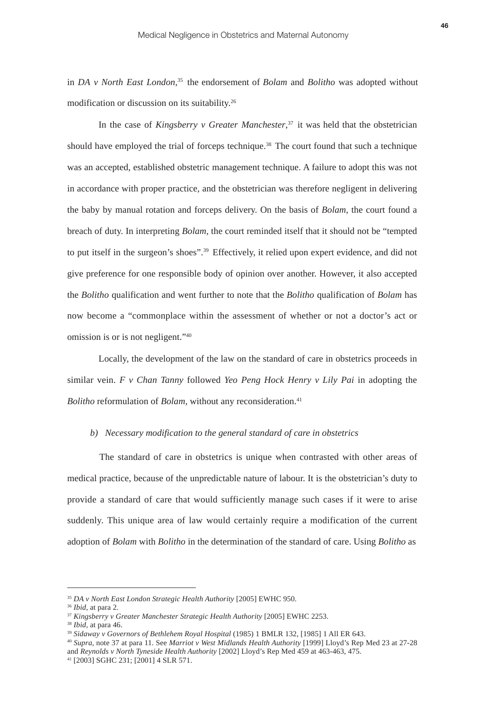in *DA v North East London*,<sup>35</sup> the endorsement of *Bolam* and *Bolitho* was adopted without modification or discussion on its suitability.26

In the case of *Kingsberry v Greater Manchester*,<sup>37</sup> it was held that the obstetrician should have employed the trial of forceps technique.<sup>38</sup> The court found that such a technique was an accepted, established obstetric management technique. A failure to adopt this was not in accordance with proper practice, and the obstetrician was therefore negligent in delivering the baby by manual rotation and forceps delivery. On the basis of *Bolam*, the court found a breach of duty. In interpreting *Bolam*, the court reminded itself that it should not be "tempted to put itself in the surgeon's shoes".39 Effectively, it relied upon expert evidence, and did not give preference for one responsible body of opinion over another. However, it also accepted the *Bolitho* qualification and went further to note that the *Bolitho* qualification of *Bolam* has now become a "commonplace within the assessment of whether or not a doctor's act or omission is or is not negligent."40

Locally, the development of the law on the standard of care in obstetrics proceeds in similar vein. *F v Chan Tanny* followed *Yeo Peng Hock Henry v Lily Pai* in adopting the *Bolitho* reformulation of *Bolam*, without any reconsideration.<sup>41</sup>

# *b) Necessary modification to the general standard of care in obstetrics*

The standard of care in obstetrics is unique when contrasted with other areas of medical practice, because of the unpredictable nature of labour. It is the obstetrician's duty to provide a standard of care that would sufficiently manage such cases if it were to arise suddenly. This unique area of law would certainly require a modification of the current adoption of *Bolam* with *Bolitho* in the determination of the standard of care. Using *Bolitho* as

<sup>35</sup> *DA v North East London Strategic Health Authority* [2005] EWHC 950.

<sup>36</sup> *Ibid*, at para 2.

<sup>37</sup> *Kingsberry v Greater Manchester Strategic Health Authority* [2005] EWHC 2253.

<sup>38</sup> *Ibid*, at para 46.

<sup>39</sup> *Sidaway v Governors of Bethlehem Royal Hospital* (1985) 1 BMLR 132, [1985] 1 All ER 643.

<sup>40</sup> *Supra*, note 37 at para 11. See *Marriot v West Midlands Health Authority* [1999] Lloyd's Rep Med 23 at 27-28 and *Reynolds v North Tyneside Health Authority* [2002] Lloyd's Rep Med 459 at 463-463, 475.

<sup>41 [2003]</sup> SGHC 231; [2001] 4 SLR 571.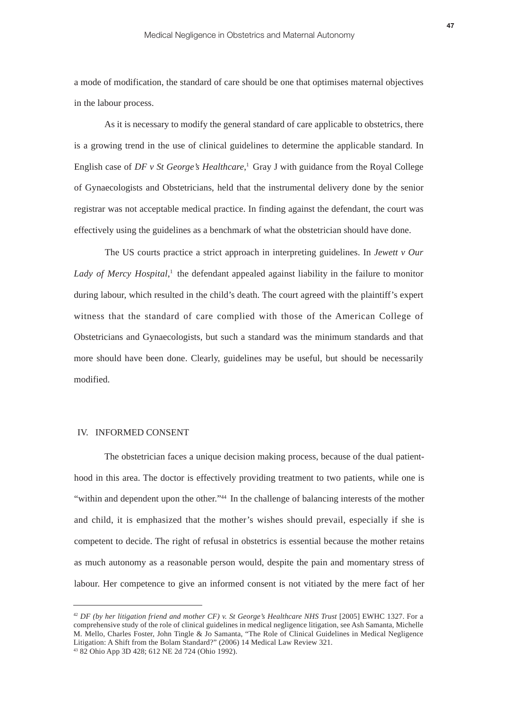a mode of modification, the standard of care should be one that optimises maternal objectives in the labour process.

As it is necessary to modify the general standard of care applicable to obstetrics, there is a growing trend in the use of clinical guidelines to determine the applicable standard. In English case of *DF v St George's Healthcare*, <sup>1</sup> Gray J with guidance from the Royal College of Gynaecologists and Obstetricians, held that the instrumental delivery done by the senior registrar was not acceptable medical practice. In finding against the defendant, the court was effectively using the guidelines as a benchmark of what the obstetrician should have done.

The US courts practice a strict approach in interpreting guidelines. In *Jewett v Our* Lady of Mercy Hospital,<sup>1</sup> the defendant appealed against liability in the failure to monitor during labour, which resulted in the child's death. The court agreed with the plaintiff's expert witness that the standard of care complied with those of the American College of Obstetricians and Gynaecologists, but such a standard was the minimum standards and that more should have been done. Clearly, guidelines may be useful, but should be necessarily modified.

#### IV. INFORMED CONSENT

The obstetrician faces a unique decision making process, because of the dual patienthood in this area. The doctor is effectively providing treatment to two patients, while one is "within and dependent upon the other."<sup>44</sup> In the challenge of balancing interests of the mother and child, it is emphasized that the mother's wishes should prevail, especially if she is competent to decide. The right of refusal in obstetrics is essential because the mother retains as much autonomy as a reasonable person would, despite the pain and momentary stress of labour. Her competence to give an informed consent is not vitiated by the mere fact of her

<sup>&</sup>lt;sup>42</sup> *DF* (by her litigation friend and mother CF) v. St George's Healthcare NHS Trust [2005] EWHC 1327. For a comprehensive study of the role of clinical guidelines in medical negligence litigation, see Ash Samanta, Michelle M. Mello, Charles Foster, John Tingle & Jo Samanta, "The Role of Clinical Guidelines in Medical Negligence Litigation: A Shift from the Bolam Standard?" (2006) 14 Medical Law Review 321.

<sup>43 82</sup> Ohio App 3D 428; 612 NE 2d 724 (Ohio 1992).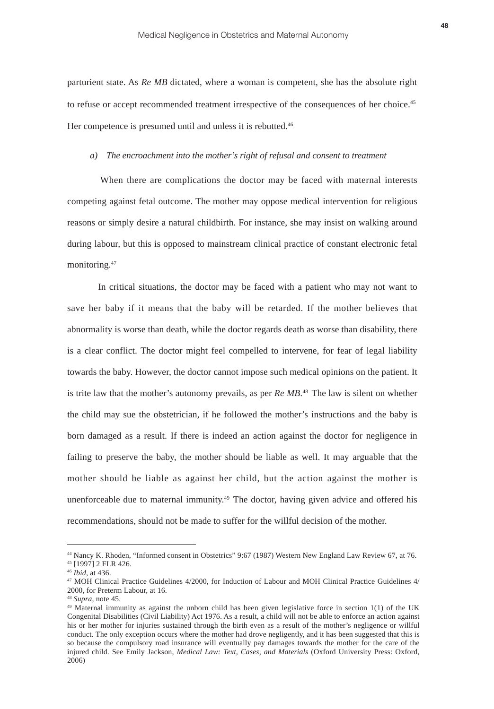parturient state. As *Re MB* dictated, where a woman is competent, she has the absolute right to refuse or accept recommended treatment irrespective of the consequences of her choice.<sup>45</sup> Her competence is presumed until and unless it is rebutted.<sup>46</sup>

# *a) The encroachment into the mother's right of refusal and consent to treatment*

When there are complications the doctor may be faced with maternal interests competing against fetal outcome. The mother may oppose medical intervention for religious reasons or simply desire a natural childbirth. For instance, she may insist on walking around during labour, but this is opposed to mainstream clinical practice of constant electronic fetal monitoring.47

In critical situations, the doctor may be faced with a patient who may not want to save her baby if it means that the baby will be retarded. If the mother believes that abnormality is worse than death, while the doctor regards death as worse than disability, there is a clear conflict. The doctor might feel compelled to intervene, for fear of legal liability towards the baby. However, the doctor cannot impose such medical opinions on the patient. It is trite law that the mother's autonomy prevails, as per *Re MB*<sup>48</sup>. The law is silent on whether the child may sue the obstetrician, if he followed the mother's instructions and the baby is born damaged as a result. If there is indeed an action against the doctor for negligence in failing to preserve the baby, the mother should be liable as well. It may arguable that the mother should be liable as against her child, but the action against the mother is unenforceable due to maternal immunity.<sup>49</sup> The doctor, having given advice and offered his recommendations, should not be made to suffer for the willful decision of the mother.

<sup>44</sup> Nancy K. Rhoden, "Informed consent in Obstetrics" 9:67 (1987) Western New England Law Review 67, at 76. 45 [1997] 2 FLR 426.

<sup>46</sup> *Ibid*, at 436.

<sup>47</sup> MOH Clinical Practice Guidelines 4/2000, for Induction of Labour and MOH Clinical Practice Guidelines 4/ 2000, for Preterm Labour, at 16.

<sup>48</sup> *Supra*, note 45.

<sup>49</sup> Maternal immunity as against the unborn child has been given legislative force in section 1(1) of the UK Congenital Disabilities (Civil Liability) Act 1976. As a result, a child will not be able to enforce an action against his or her mother for injuries sustained through the birth even as a result of the mother's negligence or willful conduct. The only exception occurs where the mother had drove negligently, and it has been suggested that this is so because the compulsory road insurance will eventually pay damages towards the mother for the care of the injured child. See Emily Jackson, *Medical Law: Text, Cases, and Materials* (Oxford University Press: Oxford, 2006)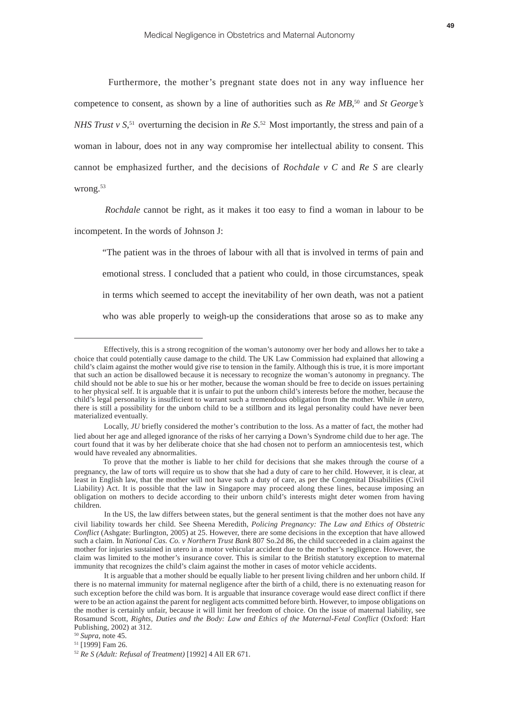Furthermore, the mother's pregnant state does not in any way influence her competence to consent, as shown by a line of authorities such as *Re MB*,<sup>50</sup> and *St George's NHS Trust v S*<sup>51</sup> overturning the decision in *Re S*<sup>52</sup> Most importantly, the stress and pain of a woman in labour, does not in any way compromise her intellectual ability to consent. This cannot be emphasized further, and the decisions of *Rochdale v C* and *Re S* are clearly wrong.<sup>53</sup>

*Rochdale* cannot be right, as it makes it too easy to find a woman in labour to be incompetent. In the words of Johnson J:

"The patient was in the throes of labour with all that is involved in terms of pain and emotional stress. I concluded that a patient who could, in those circumstances, speak in terms which seemed to accept the inevitability of her own death, was not a patient who was able properly to weigh-up the considerations that arose so as to make any

Effectively, this is a strong recognition of the woman's autonomy over her body and allows her to take a choice that could potentially cause damage to the child. The UK Law Commission had explained that allowing a child's claim against the mother would give rise to tension in the family. Although this is true, it is more important that such an action be disallowed because it is necessary to recognize the woman's autonomy in pregnancy. The child should not be able to sue his or her mother, because the woman should be free to decide on issues pertaining to her physical self. It is arguable that it is unfair to put the unborn child's interests before the mother, because the child's legal personality is insufficient to warrant such a tremendous obligation from the mother. While *in utero*, there is still a possibility for the unborn child to be a stillborn and its legal personality could have never been materialized eventually.

Locally, *JU* briefly considered the mother's contribution to the loss. As a matter of fact, the mother had lied about her age and alleged ignorance of the risks of her carrying a Down's Syndrome child due to her age. The court found that it was by her deliberate choice that she had chosen not to perform an amniocentesis test, which would have revealed any abnormalities.

To prove that the mother is liable to her child for decisions that she makes through the course of a pregnancy, the law of torts will require us to show that she had a duty of care to her child. However, it is clear, at least in English law, that the mother will not have such a duty of care, as per the Congenital Disabilities (Civil Liability) Act. It is possible that the law in Singapore may proceed along these lines, because imposing an obligation on mothers to decide according to their unborn child's interests might deter women from having children.

In the US, the law differs between states, but the general sentiment is that the mother does not have any civil liability towards her child. See Sheena Meredith, *Policing Pregnancy: The Law and Ethics of Obstetric Conflict* (Ashgate: Burlington, 2005) at 25. However, there are some decisions in the exception that have allowed such a claim. In *National Cas. Co. v Northern Trust Bank* 807 So.2d 86, the child succeeded in a claim against the mother for injuries sustained in utero in a motor vehicular accident due to the mother's negligence. However, the claim was limited to the mother's insurance cover. This is similar to the British statutory exception to maternal immunity that recognizes the child's claim against the mother in cases of motor vehicle accidents.

It is arguable that a mother should be equally liable to her present living children and her unborn child. If there is no maternal immunity for maternal negligence after the birth of a child, there is no extenuating reason for such exception before the child was born. It is arguable that insurance coverage would ease direct conflict if there were to be an action against the parent for negligent acts committed before birth. However, to impose obligations on the mother is certainly unfair, because it will limit her freedom of choice. On the issue of maternal liability, see Rosamund Scott, *Rights, Duties and the Body: Law and Ethics of the Maternal-Fetal Conflict* (Oxford: Hart Publishing, 2002) at 312.

<sup>50</sup> *Supra*, note 45.

<sup>51 [1999]</sup> Fam 26.

<sup>52</sup> *Re S (Adult: Refusal of Treatment)* [1992] 4 All ER 671.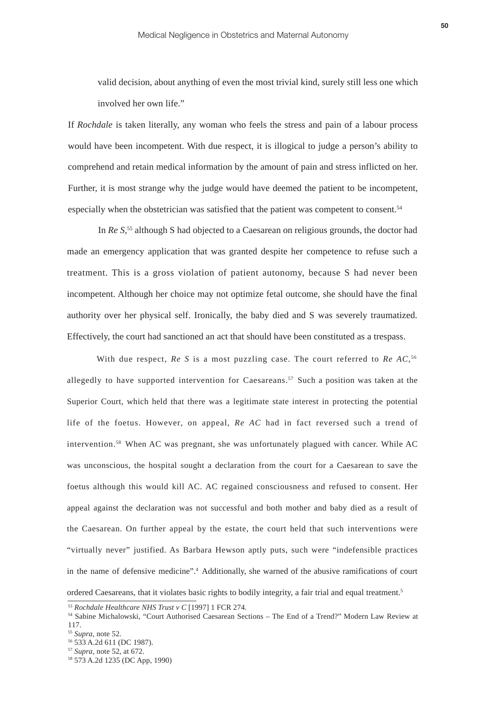valid decision, about anything of even the most trivial kind, surely still less one which involved her own life."

If *Rochdale* is taken literally, any woman who feels the stress and pain of a labour process would have been incompetent. With due respect, it is illogical to judge a person's ability to comprehend and retain medical information by the amount of pain and stress inflicted on her. Further, it is most strange why the judge would have deemed the patient to be incompetent, especially when the obstetrician was satisfied that the patient was competent to consent.54

In *Re S*<sup>55</sup> although S had objected to a Caesarean on religious grounds, the doctor had made an emergency application that was granted despite her competence to refuse such a treatment. This is a gross violation of patient autonomy, because S had never been incompetent. Although her choice may not optimize fetal outcome, she should have the final authority over her physical self. Ironically, the baby died and S was severely traumatized. Effectively, the court had sanctioned an act that should have been constituted as a trespass.

With due respect, *Re S* is a most puzzling case. The court referred to *Re AC*,<sup>56</sup> allegedly to have supported intervention for Caesareans.<sup>57</sup> Such a position was taken at the Superior Court, which held that there was a legitimate state interest in protecting the potential life of the foetus. However, on appeal, *Re AC* had in fact reversed such a trend of intervention.58 When AC was pregnant, she was unfortunately plagued with cancer. While AC was unconscious, the hospital sought a declaration from the court for a Caesarean to save the foetus although this would kill AC. AC regained consciousness and refused to consent. Her appeal against the declaration was not successful and both mother and baby died as a result of the Caesarean. On further appeal by the estate, the court held that such interventions were "virtually never" justified. As Barbara Hewson aptly puts, such were "indefensible practices in the name of defensive medicine".4 Additionally, she warned of the abusive ramifications of court

ordered Caesareans, that it violates basic rights to bodily integrity, a fair trial and equal treatment.5

<sup>53</sup> *Rochdale Healthcare NHS Trust v C* [1997] 1 FCR 274.

<sup>54</sup> Sabine Michalowski, "Court Authorised Caesarean Sections – The End of a Trend?" Modern Law Review at 117.

<sup>55</sup> *Supra*, note 52.

<sup>56 533</sup> A.2d 611 (DC 1987).

<sup>57</sup> *Supra*, note 52, at 672.

<sup>58 573</sup> A.2d 1235 (DC App, 1990)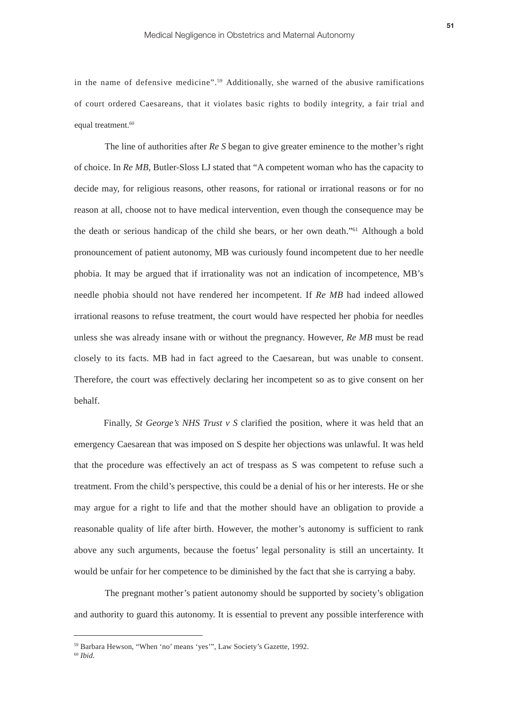in the name of defensive medicine".59 Additionally, she warned of the abusive ramifications of court ordered Caesareans, that it violates basic rights to bodily integrity, a fair trial and equal treatment.<sup>60</sup>

 The line of authorities after *Re S* began to give greater eminence to the mother's right of choice. In *Re MB*, Butler-Sloss LJ stated that "A competent woman who has the capacity to decide may, for religious reasons, other reasons, for rational or irrational reasons or for no reason at all, choose not to have medical intervention, even though the consequence may be the death or serious handicap of the child she bears, or her own death."61 Although a bold pronouncement of patient autonomy, MB was curiously found incompetent due to her needle phobia. It may be argued that if irrationality was not an indication of incompetence, MB's needle phobia should not have rendered her incompetent. If *Re MB* had indeed allowed irrational reasons to refuse treatment, the court would have respected her phobia for needles unless she was already insane with or without the pregnancy. However, *Re MB* must be read closely to its facts. MB had in fact agreed to the Caesarean, but was unable to consent. Therefore, the court was effectively declaring her incompetent so as to give consent on her behalf.

Finally, *St George's NHS Trust v S* clarified the position, where it was held that an emergency Caesarean that was imposed on S despite her objections was unlawful. It was held that the procedure was effectively an act of trespass as S was competent to refuse such a treatment. From the child's perspective, this could be a denial of his or her interests. He or she may argue for a right to life and that the mother should have an obligation to provide a reasonable quality of life after birth. However, the mother's autonomy is sufficient to rank above any such arguments, because the foetus' legal personality is still an uncertainty. It would be unfair for her competence to be diminished by the fact that she is carrying a baby.

 The pregnant mother's patient autonomy should be supported by society's obligation and authority to guard this autonomy. It is essential to prevent any possible interference with

<sup>59</sup> Barbara Hewson, "When 'no' means 'yes'", Law Society's Gazette, 1992.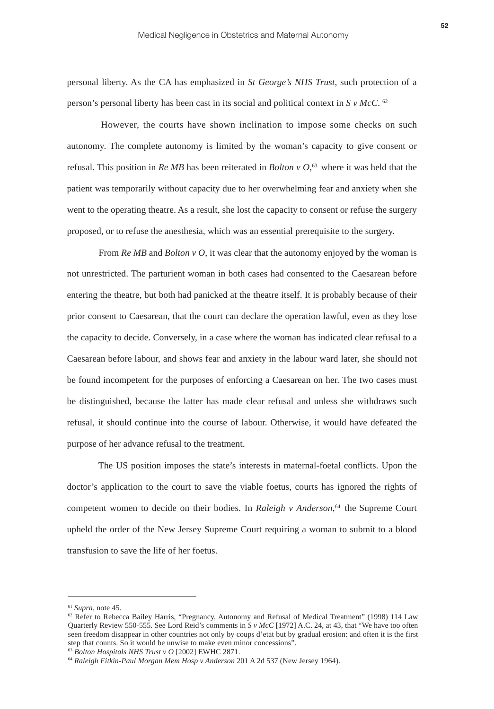personal liberty. As the CA has emphasized in *St George's NHS Trust*, such protection of a person's personal liberty has been cast in its social and political context in *S v McC*. <sup>62</sup>

However, the courts have shown inclination to impose some checks on such autonomy. The complete autonomy is limited by the woman's capacity to give consent or refusal. This position in *Re MB* has been reiterated in *Bolton v O*,<sup>63</sup> where it was held that the patient was temporarily without capacity due to her overwhelming fear and anxiety when she went to the operating theatre. As a result, she lost the capacity to consent or refuse the surgery proposed, or to refuse the anesthesia, which was an essential prerequisite to the surgery.

From *Re MB* and *Bolton v O*, it was clear that the autonomy enjoyed by the woman is not unrestricted. The parturient woman in both cases had consented to the Caesarean before entering the theatre, but both had panicked at the theatre itself. It is probably because of their prior consent to Caesarean, that the court can declare the operation lawful, even as they lose the capacity to decide. Conversely, in a case where the woman has indicated clear refusal to a Caesarean before labour, and shows fear and anxiety in the labour ward later, she should not be found incompetent for the purposes of enforcing a Caesarean on her. The two cases must be distinguished, because the latter has made clear refusal and unless she withdraws such refusal, it should continue into the course of labour. Otherwise, it would have defeated the purpose of her advance refusal to the treatment.

The US position imposes the state's interests in maternal-foetal conflicts. Upon the doctor's application to the court to save the viable foetus, courts has ignored the rights of competent women to decide on their bodies. In *Raleigh v Anderson*,<sup>64</sup> the Supreme Court upheld the order of the New Jersey Supreme Court requiring a woman to submit to a blood transfusion to save the life of her foetus.

<sup>61</sup> *Supra*, note 45.

 $62$  Refer to Rebecca Bailey Harris, "Pregnancy, Autonomy and Refusal of Medical Treatment" (1998) 114 Law Quarterly Review 550-555. See Lord Reid's comments in *S v McC* [1972] A.C. 24, at 43, that "We have too often seen freedom disappear in other countries not only by coups d'etat but by gradual erosion: and often it is the first step that counts. So it would be unwise to make even minor concessions".

<sup>63</sup> *Bolton Hospitals NHS Trust v O* [2002] EWHC 2871.

<sup>64</sup> *Raleigh Fitkin-Paul Morgan Mem Hosp v Anderson* 201 A 2d 537 (New Jersey 1964).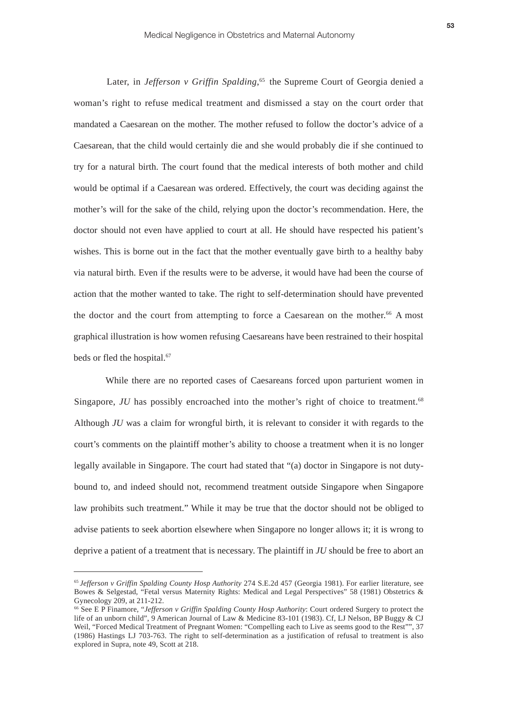Later, in *Jefferson v Griffin Spalding*<sup>, 65</sup> the Supreme Court of Georgia denied a woman's right to refuse medical treatment and dismissed a stay on the court order that mandated a Caesarean on the mother. The mother refused to follow the doctor's advice of a Caesarean, that the child would certainly die and she would probably die if she continued to try for a natural birth. The court found that the medical interests of both mother and child would be optimal if a Caesarean was ordered. Effectively, the court was deciding against the mother's will for the sake of the child, relying upon the doctor's recommendation. Here, the doctor should not even have applied to court at all. He should have respected his patient's wishes. This is borne out in the fact that the mother eventually gave birth to a healthy baby via natural birth. Even if the results were to be adverse, it would have had been the course of action that the mother wanted to take. The right to self-determination should have prevented the doctor and the court from attempting to force a Caesarean on the mother.<sup>66</sup> A most graphical illustration is how women refusing Caesareans have been restrained to their hospital beds or fled the hospital.<sup>67</sup>

While there are no reported cases of Caesareans forced upon parturient women in Singapore, *JU* has possibly encroached into the mother's right of choice to treatment.<sup>68</sup> Although *JU* was a claim for wrongful birth, it is relevant to consider it with regards to the court's comments on the plaintiff mother's ability to choose a treatment when it is no longer legally available in Singapore. The court had stated that "(a) doctor in Singapore is not dutybound to, and indeed should not, recommend treatment outside Singapore when Singapore law prohibits such treatment." While it may be true that the doctor should not be obliged to advise patients to seek abortion elsewhere when Singapore no longer allows it; it is wrong to deprive a patient of a treatment that is necessary. The plaintiff in *JU* should be free to abort an

<sup>65</sup>*Jefferson v Griffin Spalding County Hosp Authority* 274 S.E.2d 457 (Georgia 1981). For earlier literature, see Bowes & Selgestad, "Fetal versus Maternity Rights: Medical and Legal Perspectives" 58 (1981) Obstetrics & Gynecology 209, at 211-212.

<sup>66</sup> See E P Finamore, "*Jefferson v Griffin Spalding County Hosp Authority*: Court ordered Surgery to protect the life of an unborn child", 9 American Journal of Law & Medicine 83-101 (1983). Cf, LJ Nelson, BP Buggy & CJ Weil, "Forced Medical Treatment of Pregnant Women: "Compelling each to Live as seems good to the Rest"", 37 (1986) Hastings LJ 703-763. The right to self-determination as a justification of refusal to treatment is also explored in Supra, note 49, Scott at 218.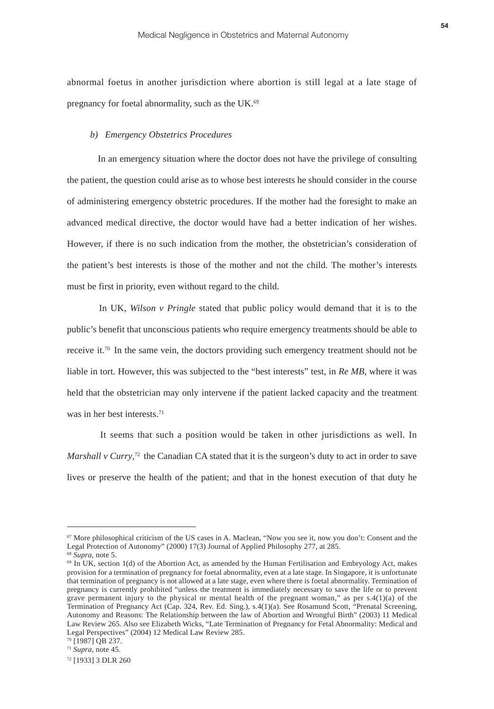abnormal foetus in another jurisdiction where abortion is still legal at a late stage of pregnancy for foetal abnormality, such as the UK.<sup>69</sup>

#### *b) Emergency Obstetrics Procedures*

In an emergency situation where the doctor does not have the privilege of consulting the patient, the question could arise as to whose best interests he should consider in the course of administering emergency obstetric procedures. If the mother had the foresight to make an advanced medical directive, the doctor would have had a better indication of her wishes. However, if there is no such indication from the mother, the obstetrician's consideration of the patient's best interests is those of the mother and not the child. The mother's interests must be first in priority, even without regard to the child.

In UK, *Wilson v Pringle* stated that public policy would demand that it is to the public's benefit that unconscious patients who require emergency treatments should be able to receive it.70 In the same vein, the doctors providing such emergency treatment should not be liable in tort. However, this was subjected to the "best interests" test, in *Re MB*, where it was held that the obstetrician may only intervene if the patient lacked capacity and the treatment was in her best interests.71

It seems that such a position would be taken in other jurisdictions as well. In *Marshall v Curry*,<sup>72</sup> the Canadian CA stated that it is the surgeon's duty to act in order to save lives or preserve the health of the patient; and that in the honest execution of that duty he

<sup>67</sup> More philosophical criticism of the US cases in A. Maclean, "Now you see it, now you don't: Consent and the Legal Protection of Autonomy" (2000) 17(3) Journal of Applied Philosophy 277, at 285.

<sup>68</sup> *Supra*, note 5.

 $69$  In UK, section 1(d) of the Abortion Act, as amended by the Human Fertilisation and Embryology Act, makes provision for a termination of pregnancy for foetal abnormality, even at a late stage. In Singapore, it is unfortunate that termination of pregnancy is not allowed at a late stage, even where there is foetal abnormality. Termination of pregnancy is currently prohibited "unless the treatment is immediately necessary to save the life or to prevent grave permanent injury to the physical or mental health of the pregnant woman," as per  $s.4(1)(a)$  of the Termination of Pregnancy Act (Cap. 324, Rev. Ed. Sing.), s.4(1)(a). See Rosamund Scott, "Prenatal Screening, Autonomy and Reasons: The Relationship between the law of Abortion and Wrongful Birth" (2003) 11 Medical Law Review 265. Also see Elizabeth Wicks, "Late Termination of Pregnancy for Fetal Abnormality: Medical and Legal Perspectives" (2004) 12 Medical Law Review 285.

<sup>&</sup>lt;sup>70</sup> [1987] OB 237.

<sup>71</sup> *Supra*, note 45.

<sup>72 [1933] 3</sup> DLR 260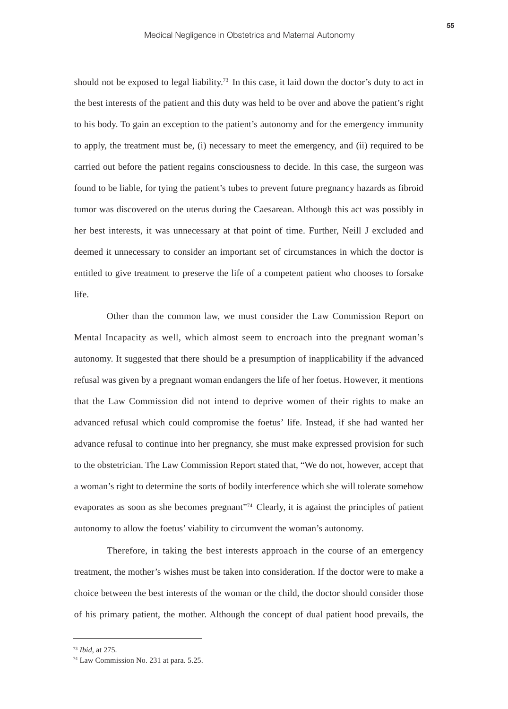should not be exposed to legal liability.<sup>73</sup> In this case, it laid down the doctor's duty to act in the best interests of the patient and this duty was held to be over and above the patient's right to his body. To gain an exception to the patient's autonomy and for the emergency immunity to apply, the treatment must be, (i) necessary to meet the emergency, and (ii) required to be carried out before the patient regains consciousness to decide. In this case, the surgeon was found to be liable, for tying the patient's tubes to prevent future pregnancy hazards as fibroid tumor was discovered on the uterus during the Caesarean. Although this act was possibly in her best interests, it was unnecessary at that point of time. Further, Neill J excluded and deemed it unnecessary to consider an important set of circumstances in which the doctor is entitled to give treatment to preserve the life of a competent patient who chooses to forsake life.

Other than the common law, we must consider the Law Commission Report on Mental Incapacity as well, which almost seem to encroach into the pregnant woman's autonomy. It suggested that there should be a presumption of inapplicability if the advanced refusal was given by a pregnant woman endangers the life of her foetus. However, it mentions that the Law Commission did not intend to deprive women of their rights to make an advanced refusal which could compromise the foetus' life. Instead, if she had wanted her advance refusal to continue into her pregnancy, she must make expressed provision for such to the obstetrician. The Law Commission Report stated that, "We do not, however, accept that a woman's right to determine the sorts of bodily interference which she will tolerate somehow evaporates as soon as she becomes pregnant"<sup>74</sup> Clearly, it is against the principles of patient autonomy to allow the foetus' viability to circumvent the woman's autonomy.

Therefore, in taking the best interests approach in the course of an emergency treatment, the mother's wishes must be taken into consideration. If the doctor were to make a choice between the best interests of the woman or the child, the doctor should consider those of his primary patient, the mother. Although the concept of dual patient hood prevails, the

<sup>73</sup> *Ibid*, at 275.

<sup>74</sup> Law Commission No. 231 at para. 5.25.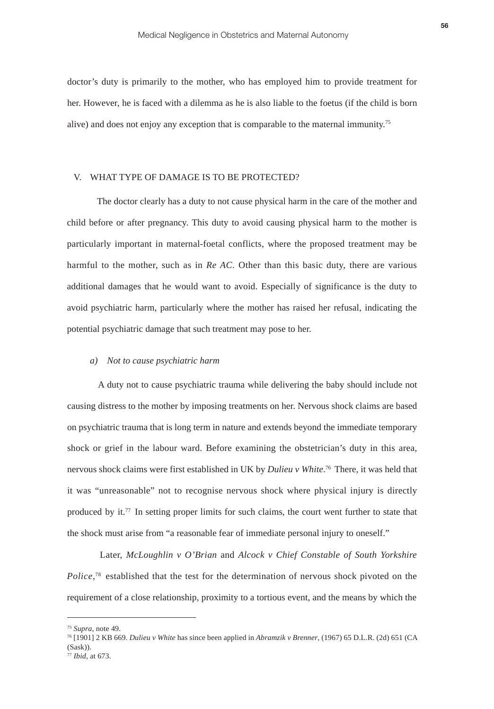doctor's duty is primarily to the mother, who has employed him to provide treatment for her. However, he is faced with a dilemma as he is also liable to the foetus (if the child is born alive) and does not enjoy any exception that is comparable to the maternal immunity.75

# V. WHAT TYPE OF DAMAGE IS TO BE PROTECTED?

 The doctor clearly has a duty to not cause physical harm in the care of the mother and child before or after pregnancy. This duty to avoid causing physical harm to the mother is particularly important in maternal-foetal conflicts, where the proposed treatment may be harmful to the mother, such as in *Re AC*. Other than this basic duty, there are various additional damages that he would want to avoid. Especially of significance is the duty to avoid psychiatric harm, particularly where the mother has raised her refusal, indicating the potential psychiatric damage that such treatment may pose to her.

# *a) Not to cause psychiatric harm*

A duty not to cause psychiatric trauma while delivering the baby should include not causing distress to the mother by imposing treatments on her. Nervous shock claims are based on psychiatric trauma that is long term in nature and extends beyond the immediate temporary shock or grief in the labour ward. Before examining the obstetrician's duty in this area, nervous shock claims were first established in UK by *Dulieu v White*.<sup>76</sup> There, it was held that it was "unreasonable" not to recognise nervous shock where physical injury is directly produced by it.77 In setting proper limits for such claims, the court went further to state that the shock must arise from "a reasonable fear of immediate personal injury to oneself."

Later, *McLoughlin v O'Brian* and *Alcock v Chief Constable of South Yorkshire Police*,<sup>78</sup> established that the test for the determination of nervous shock pivoted on the requirement of a close relationship, proximity to a tortious event, and the means by which the

<sup>75</sup> *Supra*, note 49.

<sup>76</sup> [1901] 2 KB 669. *Dulieu v White* has since been applied in *Abramzik v Brenner*, (1967) 65 D.L.R. (2d) 651 (CA (Sask)).

<sup>77</sup> *Ibid*, at 673.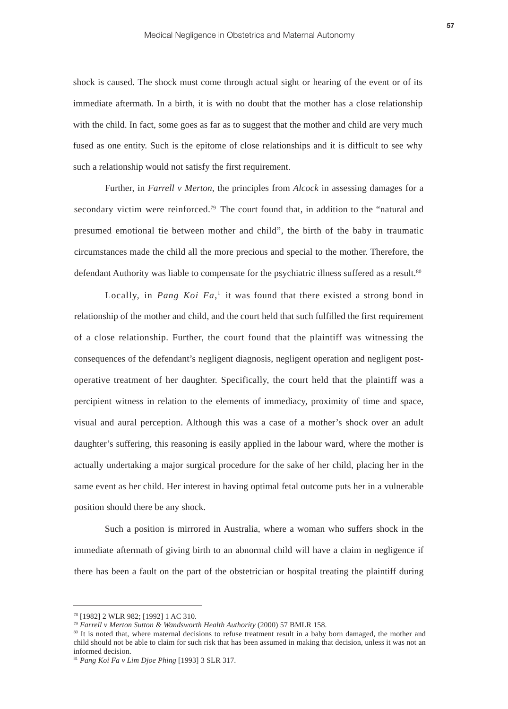shock is caused. The shock must come through actual sight or hearing of the event or of its immediate aftermath. In a birth, it is with no doubt that the mother has a close relationship with the child. In fact, some goes as far as to suggest that the mother and child are very much fused as one entity. Such is the epitome of close relationships and it is difficult to see why such a relationship would not satisfy the first requirement.

Further, in *Farrell v Merton*, the principles from *Alcock* in assessing damages for a secondary victim were reinforced.<sup>79</sup> The court found that, in addition to the "natural and presumed emotional tie between mother and child", the birth of the baby in traumatic circumstances made the child all the more precious and special to the mother. Therefore, the defendant Authority was liable to compensate for the psychiatric illness suffered as a result.<sup>80</sup>

Locally, in *Pang Koi Fa*,<sup>1</sup> it was found that there existed a strong bond in relationship of the mother and child, and the court held that such fulfilled the first requirement of a close relationship. Further, the court found that the plaintiff was witnessing the consequences of the defendant's negligent diagnosis, negligent operation and negligent postoperative treatment of her daughter. Specifically, the court held that the plaintiff was a percipient witness in relation to the elements of immediacy, proximity of time and space, visual and aural perception. Although this was a case of a mother's shock over an adult daughter's suffering, this reasoning is easily applied in the labour ward, where the mother is actually undertaking a major surgical procedure for the sake of her child, placing her in the same event as her child. Her interest in having optimal fetal outcome puts her in a vulnerable position should there be any shock.

Such a position is mirrored in Australia, where a woman who suffers shock in the immediate aftermath of giving birth to an abnormal child will have a claim in negligence if there has been a fault on the part of the obstetrician or hospital treating the plaintiff during

<sup>78 [1982] 2</sup> WLR 982; [1992] 1 AC 310.

<sup>79</sup> *Farrell v Merton Sutton & Wandsworth Health Authority* (2000) 57 BMLR 158.

<sup>80</sup> It is noted that, where maternal decisions to refuse treatment result in a baby born damaged, the mother and child should not be able to claim for such risk that has been assumed in making that decision, unless it was not an informed decision.

<sup>81</sup> *Pang Koi Fa v Lim Djoe Phing* [1993] 3 SLR 317.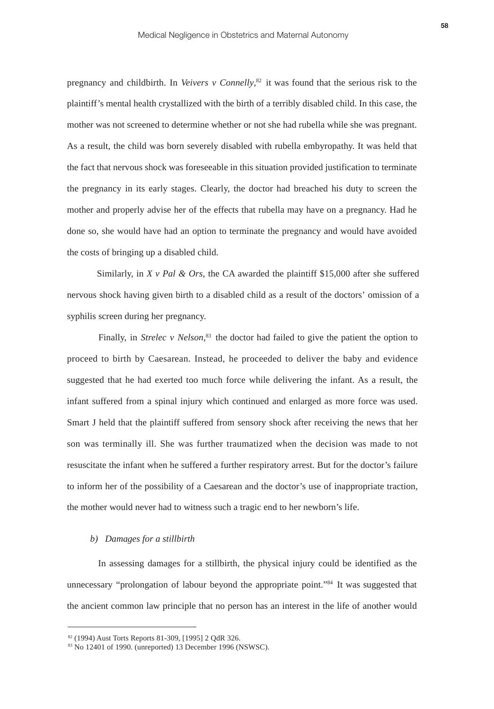pregnancy and childbirth. In *Veivers v Connelly*,<sup>82</sup> it was found that the serious risk to the plaintiff's mental health crystallized with the birth of a terribly disabled child. In this case, the mother was not screened to determine whether or not she had rubella while she was pregnant. As a result, the child was born severely disabled with rubella embyropathy. It was held that the fact that nervous shock was foreseeable in this situation provided justification to terminate the pregnancy in its early stages. Clearly, the doctor had breached his duty to screen the mother and properly advise her of the effects that rubella may have on a pregnancy. Had he done so, she would have had an option to terminate the pregnancy and would have avoided the costs of bringing up a disabled child.

Similarly, in  $X \vee Pal \& Ors$ , the CA awarded the plaintiff \$15,000 after she suffered nervous shock having given birth to a disabled child as a result of the doctors' omission of a syphilis screen during her pregnancy.

Finally, in *Strelec v Nelson*<sup>83</sup> the doctor had failed to give the patient the option to proceed to birth by Caesarean. Instead, he proceeded to deliver the baby and evidence suggested that he had exerted too much force while delivering the infant. As a result, the infant suffered from a spinal injury which continued and enlarged as more force was used. Smart J held that the plaintiff suffered from sensory shock after receiving the news that her son was terminally ill. She was further traumatized when the decision was made to not resuscitate the infant when he suffered a further respiratory arrest. But for the doctor's failure to inform her of the possibility of a Caesarean and the doctor's use of inappropriate traction, the mother would never had to witness such a tragic end to her newborn's life.

# *b) Damages for a stillbirth*

In assessing damages for a stillbirth, the physical injury could be identified as the unnecessary "prolongation of labour beyond the appropriate point."84 It was suggested that the ancient common law principle that no person has an interest in the life of another would

<sup>82 (1994)</sup> Aust Torts Reports 81-309, [1995] 2 QdR 326.

<sup>83</sup> No 12401 of 1990. (unreported) 13 December 1996 (NSWSC).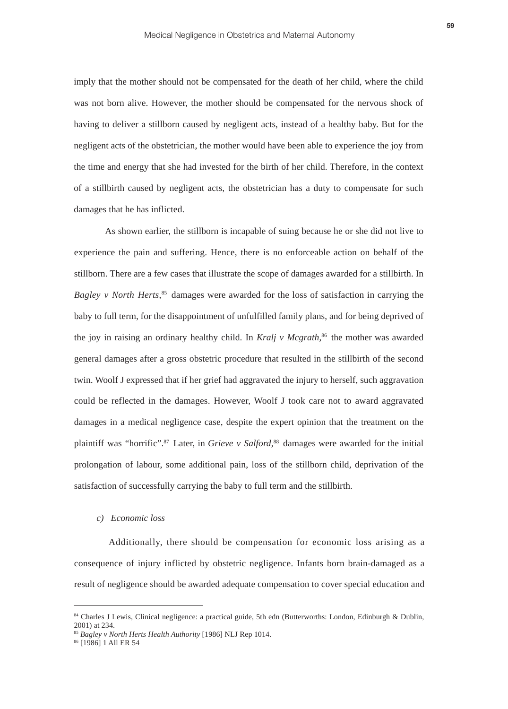imply that the mother should not be compensated for the death of her child, where the child was not born alive. However, the mother should be compensated for the nervous shock of having to deliver a stillborn caused by negligent acts, instead of a healthy baby. But for the negligent acts of the obstetrician, the mother would have been able to experience the joy from the time and energy that she had invested for the birth of her child. Therefore, in the context of a stillbirth caused by negligent acts, the obstetrician has a duty to compensate for such damages that he has inflicted.

As shown earlier, the stillborn is incapable of suing because he or she did not live to experience the pain and suffering. Hence, there is no enforceable action on behalf of the stillborn. There are a few cases that illustrate the scope of damages awarded for a stillbirth. In *Bagley v North Herts*<sup>85</sup> damages were awarded for the loss of satisfaction in carrying the baby to full term, for the disappointment of unfulfilled family plans, and for being deprived of the joy in raising an ordinary healthy child. In *Kralj v Mcgrath*,<sup>86</sup> the mother was awarded general damages after a gross obstetric procedure that resulted in the stillbirth of the second twin. Woolf J expressed that if her grief had aggravated the injury to herself, such aggravation could be reflected in the damages. However, Woolf J took care not to award aggravated damages in a medical negligence case, despite the expert opinion that the treatment on the plaintiff was "horrific".<sup>87</sup> Later, in *Grieve v Salford*,<sup>88</sup> damages were awarded for the initial prolongation of labour, some additional pain, loss of the stillborn child, deprivation of the satisfaction of successfully carrying the baby to full term and the stillbirth.

# *c) Economic loss*

Additionally, there should be compensation for economic loss arising as a consequence of injury inflicted by obstetric negligence. Infants born brain-damaged as a result of negligence should be awarded adequate compensation to cover special education and

<sup>84</sup> Charles J Lewis, Clinical negligence: a practical guide, 5th edn (Butterworths: London, Edinburgh & Dublin, 2001) at 234.

<sup>85</sup> *Bagley v North Herts Health Authority* [1986] NLJ Rep 1014.

<sup>86 [1986] 1</sup> All ER 54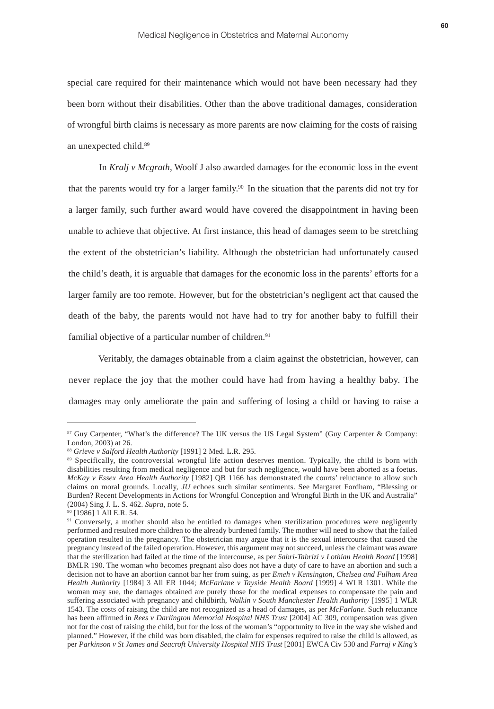special care required for their maintenance which would not have been necessary had they been born without their disabilities. Other than the above traditional damages, consideration of wrongful birth claims is necessary as more parents are now claiming for the costs of raising an unexpected child.89

In *Kralj v Mcgrath*, Woolf J also awarded damages for the economic loss in the event that the parents would try for a larger family.90 In the situation that the parents did not try for a larger family, such further award would have covered the disappointment in having been unable to achieve that objective. At first instance, this head of damages seem to be stretching the extent of the obstetrician's liability. Although the obstetrician had unfortunately caused the child's death, it is arguable that damages for the economic loss in the parents' efforts for a larger family are too remote. However, but for the obstetrician's negligent act that caused the death of the baby, the parents would not have had to try for another baby to fulfill their familial objective of a particular number of children.<sup>91</sup>

Veritably, the damages obtainable from a claim against the obstetrician, however, can never replace the joy that the mother could have had from having a healthy baby. The damages may only ameliorate the pain and suffering of losing a child or having to raise a

<sup>87</sup> Guy Carpenter, "What's the difference? The UK versus the US Legal System" (Guy Carpenter & Company: London, 2003) at 26.

<sup>88</sup> *Grieve v Salford Health Authority* [1991] 2 Med. L.R. 295.

<sup>89</sup> Specifically, the controversial wrongful life action deserves mention. Typically, the child is born with disabilities resulting from medical negligence and but for such negligence, would have been aborted as a foetus. *McKay v Essex Area Health Authority* [1982] QB 1166 has demonstrated the courts' reluctance to allow such claims on moral grounds. Locally, *JU* echoes such similar sentiments. See Margaret Fordham, "Blessing or Burden? Recent Developments in Actions for Wrongful Conception and Wrongful Birth in the UK and Australia" (2004) Sing J. L. S. 462. *Supra*, note 5.

<sup>90 [1986] 1</sup> All E.R. 54.

<sup>91</sup> Conversely, a mother should also be entitled to damages when sterilization procedures were negligently performed and resulted more children to the already burdened family. The mother will need to show that the failed operation resulted in the pregnancy. The obstetrician may argue that it is the sexual intercourse that caused the pregnancy instead of the failed operation. However, this argument may not succeed, unless the claimant was aware that the sterilization had failed at the time of the intercourse, as per *Sabri-Tabrizi v Lothian Health Board* [1998] BMLR 190. The woman who becomes pregnant also does not have a duty of care to have an abortion and such a decision not to have an abortion cannot bar her from suing, as per *Emeh v Kensington, Chelsea and Fulham Area Health Authority* [1984] 3 All ER 1044; *McFarlane v Tayside Health Board* [1999] 4 WLR 1301. While the woman may sue, the damages obtained are purely those for the medical expenses to compensate the pain and suffering associated with pregnancy and childbirth, *Walkin v South Manchester Health Authority* [1995] 1 WLR 1543. The costs of raising the child are not recognized as a head of damages, as per *McFarlane*. Such reluctance has been affirmed in *Rees v Darlington Memorial Hospital NHS Trust* [2004] AC 309, compensation was given not for the cost of raising the child, but for the loss of the woman's "opportunity to live in the way she wished and planned." However, if the child was born disabled, the claim for expenses required to raise the child is allowed, as per *Parkinson v St James and Seacroft University Hospital NHS Trust* [2001] EWCA Civ 530 and *Farraj v King's*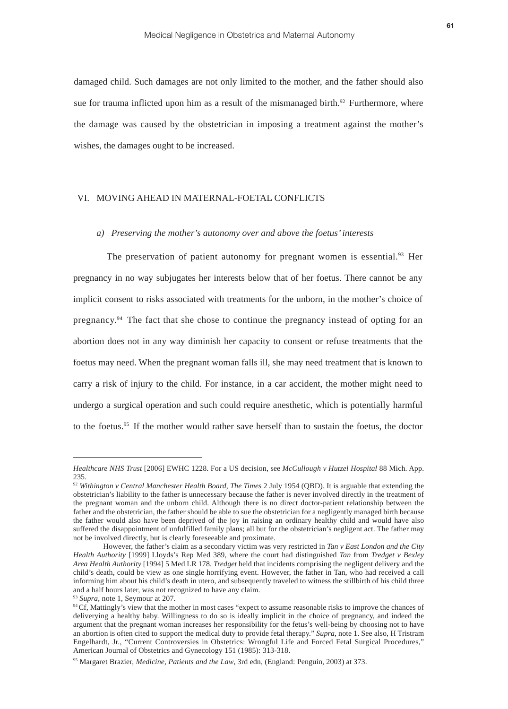damaged child. Such damages are not only limited to the mother, and the father should also sue for trauma inflicted upon him as a result of the mismanaged birth.<sup>92</sup> Furthermore, where the damage was caused by the obstetrician in imposing a treatment against the mother's wishes, the damages ought to be increased.

# VI. MOVING AHEAD IN MATERNAL-FOETAL CONFLICTS

#### *a) Preserving the mother's autonomy over and above the foetus' interests*

The preservation of patient autonomy for pregnant women is essential.<sup>93</sup> Her pregnancy in no way subjugates her interests below that of her foetus. There cannot be any implicit consent to risks associated with treatments for the unborn, in the mother's choice of pregnancy.<sup>94</sup> The fact that she chose to continue the pregnancy instead of opting for an abortion does not in any way diminish her capacity to consent or refuse treatments that the foetus may need. When the pregnant woman falls ill, she may need treatment that is known to carry a risk of injury to the child. For instance, in a car accident, the mother might need to undergo a surgical operation and such could require anesthetic, which is potentially harmful to the foetus.<sup>95</sup> If the mother would rather save herself than to sustain the foetus, the doctor

*Healthcare NHS Trust* [2006] EWHC 1228. For a US decision, see *McCullough v Hutzel Hospital* 88 Mich. App. 235.

<sup>92</sup> *Withington v Central Manchester Health Board*, *The Times* 2 July 1954 (QBD). It is arguable that extending the obstetrician's liability to the father is unnecessary because the father is never involved directly in the treatment of the pregnant woman and the unborn child. Although there is no direct doctor-patient relationship between the father and the obstetrician, the father should be able to sue the obstetrician for a negligently managed birth because the father would also have been deprived of the joy in raising an ordinary healthy child and would have also suffered the disappointment of unfulfilled family plans; all but for the obstetrician's negligent act. The father may not be involved directly, but is clearly foreseeable and proximate.

However, the father's claim as a secondary victim was very restricted in *Tan v East London and the City Health Authority* [1999] Lloyds's Rep Med 389, where the court had distinguished *Tan* from *Tredget v Bexley Area Health Authority* [1994] 5 Med LR 178. *Tredget* held that incidents comprising the negligent delivery and the child's death, could be view as one single horrifying event. However, the father in Tan, who had received a call informing him about his child's death in utero, and subsequently traveled to witness the stillbirth of his child three and a half hours later, was not recognized to have any claim.

<sup>93</sup> *Supra*, note 1, Seymour at 207.

<sup>&</sup>lt;sup>94</sup> Cf, Mattingly's view that the mother in most cases "expect to assume reasonable risks to improve the chances of deliverying a healthy baby. Willingness to do so is ideally implicit in the choice of pregnancy, and indeed the argument that the pregnant woman increases her responsibility for the fetus's well-being by choosing not to have an abortion is often cited to support the medical duty to provide fetal therapy." *Supra*, note 1. See also, H Tristram Engelhardt, Jr., "Current Controversies in Obstetrics: Wrongful Life and Forced Fetal Surgical Procedures," American Journal of Obstetrics and Gynecology 151 (1985): 313-318.

<sup>95</sup> Margaret Brazier, *Medicine, Patients and the Law*, 3rd edn, (England: Penguin, 2003) at 373.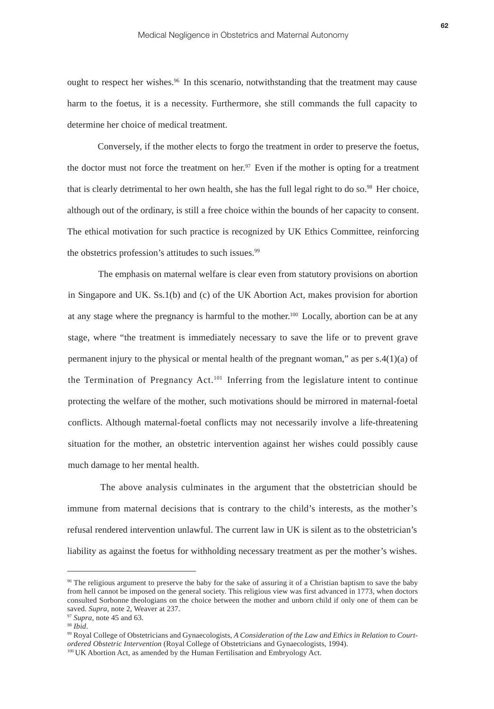ought to respect her wishes.<sup>96</sup> In this scenario, notwithstanding that the treatment may cause harm to the foetus, it is a necessity. Furthermore, she still commands the full capacity to determine her choice of medical treatment.

Conversely, if the mother elects to forgo the treatment in order to preserve the foetus, the doctor must not force the treatment on her.<sup>97</sup> Even if the mother is opting for a treatment that is clearly detrimental to her own health, she has the full legal right to do so.<sup>98</sup> Her choice, although out of the ordinary, is still a free choice within the bounds of her capacity to consent. The ethical motivation for such practice is recognized by UK Ethics Committee, reinforcing the obstetrics profession's attitudes to such issues.<sup>99</sup>

The emphasis on maternal welfare is clear even from statutory provisions on abortion in Singapore and UK. Ss.1(b) and (c) of the UK Abortion Act, makes provision for abortion at any stage where the pregnancy is harmful to the mother.100 Locally, abortion can be at any stage, where "the treatment is immediately necessary to save the life or to prevent grave permanent injury to the physical or mental health of the pregnant woman," as per  $s \cdot 4(1)(a)$  of the Termination of Pregnancy Act.<sup>101</sup> Inferring from the legislature intent to continue protecting the welfare of the mother, such motivations should be mirrored in maternal-foetal conflicts. Although maternal-foetal conflicts may not necessarily involve a life-threatening situation for the mother, an obstetric intervention against her wishes could possibly cause much damage to her mental health.

The above analysis culminates in the argument that the obstetrician should be immune from maternal decisions that is contrary to the child's interests, as the mother's refusal rendered intervention unlawful. The current law in UK is silent as to the obstetrician's liability as against the foetus for withholding necessary treatment as per the mother's wishes.

<sup>96</sup> The religious argument to preserve the baby for the sake of assuring it of a Christian baptism to save the baby from hell cannot be imposed on the general society. This religious view was first advanced in 1773, when doctors consulted Sorbonne theologians on the choice between the mother and unborn child if only one of them can be saved. *Supra*, note 2, Weaver at 237.

<sup>97</sup> *Supra*, note 45 and 63.

<sup>98</sup> *Ibid*.

<sup>99</sup> Royal College of Obstetricians and Gynaecologists, *A Consideration of the Law and Ethics in Relation to Courtordered Obstetric Intervention* (Royal College of Obstetricians and Gynaecologists, 1994).

<sup>&</sup>lt;sup>100</sup> UK Abortion Act, as amended by the Human Fertilisation and Embryology Act.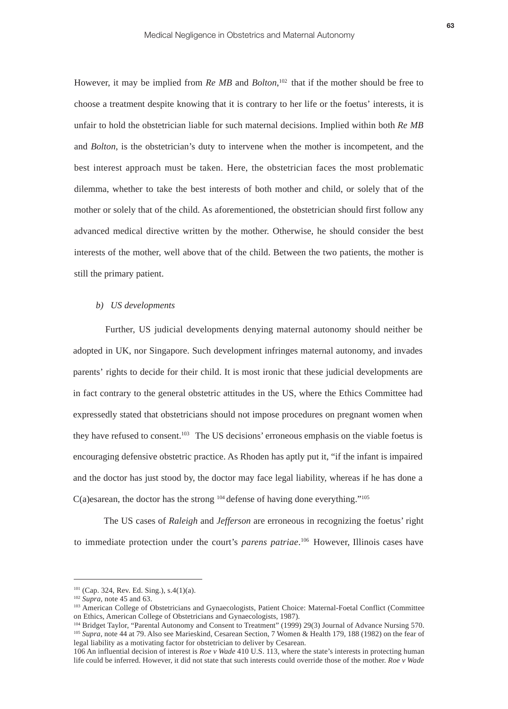However, it may be implied from *Re MB* and *Bolton*,<sup>102</sup> that if the mother should be free to choose a treatment despite knowing that it is contrary to her life or the foetus' interests, it is unfair to hold the obstetrician liable for such maternal decisions. Implied within both *Re MB* and *Bolton*, is the obstetrician's duty to intervene when the mother is incompetent, and the best interest approach must be taken. Here, the obstetrician faces the most problematic dilemma, whether to take the best interests of both mother and child, or solely that of the mother or solely that of the child. As aforementioned, the obstetrician should first follow any advanced medical directive written by the mother. Otherwise, he should consider the best interests of the mother, well above that of the child. Between the two patients, the mother is still the primary patient.

#### *b) US developments*

Further, US judicial developments denying maternal autonomy should neither be adopted in UK, nor Singapore. Such development infringes maternal autonomy, and invades parents' rights to decide for their child. It is most ironic that these judicial developments are in fact contrary to the general obstetric attitudes in the US, where the Ethics Committee had expressedly stated that obstetricians should not impose procedures on pregnant women when they have refused to consent.<sup>103</sup> The US decisions' erroneous emphasis on the viable foetus is encouraging defensive obstetric practice. As Rhoden has aptly put it, "if the infant is impaired and the doctor has just stood by, the doctor may face legal liability, whereas if he has done a  $C(a)$ esarean, the doctor has the strong  $104$  defense of having done everything." $105$ 

The US cases of *Raleigh* and *Jefferson* are erroneous in recognizing the foetus' right to immediate protection under the court's *parens patriae*.<sup>106</sup> However, Illinois cases have

<sup>101 (</sup>Cap. 324, Rev. Ed. Sing.), s.4(1)(a).

<sup>102</sup> *Supra*, note 45 and 63.

<sup>103</sup> American College of Obstetricians and Gynaecologists, Patient Choice: Maternal-Foetal Conflict (Committee on Ethics, American College of Obstetricians and Gynaecologists, 1987).

<sup>104</sup> Bridget Taylor, "Parental Autonomy and Consent to Treatment" (1999) 29(3) Journal of Advance Nursing 570. <sup>105</sup> *Supra*, note 44 at 79. Also see Marieskind, Cesarean Section, 7 Women & Health 179, 188 (1982) on the fear of legal liability as a motivating factor for obstetrician to deliver by Cesarean.

<sup>106</sup> An influential decision of interest is *Roe v Wade* 410 U.S. 113, where the state's interests in protecting human life could be inferred. However, it did not state that such interests could override those of the mother. *Roe v Wade*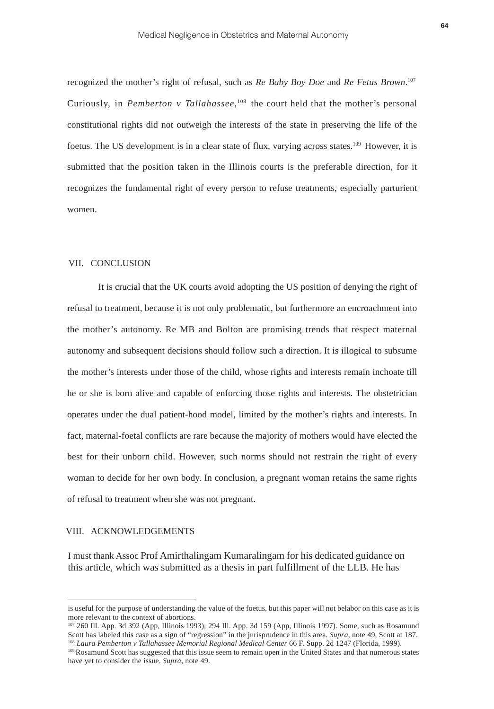recognized the mother's right of refusal, such as *Re Baby Boy Doe* and *Re Fetus Brown*.<sup>107</sup> Curiously, in *Pemberton v* Tallahassee,<sup>108</sup> the court held that the mother's personal constitutional rights did not outweigh the interests of the state in preserving the life of the foetus. The US development is in a clear state of flux, varying across states.109 However, it is submitted that the position taken in the Illinois courts is the preferable direction, for it recognizes the fundamental right of every person to refuse treatments, especially parturient women.

# VII. CONCLUSION

 It is crucial that the UK courts avoid adopting the US position of denying the right of refusal to treatment, because it is not only problematic, but furthermore an encroachment into the mother's autonomy. Re MB and Bolton are promising trends that respect maternal autonomy and subsequent decisions should follow such a direction. It is illogical to subsume the mother's interests under those of the child, whose rights and interests remain inchoate till he or she is born alive and capable of enforcing those rights and interests. The obstetrician operates under the dual patient-hood model, limited by the mother's rights and interests. In fact, maternal-foetal conflicts are rare because the majority of mothers would have elected the best for their unborn child. However, such norms should not restrain the right of every woman to decide for her own body. In conclusion, a pregnant woman retains the same rights of refusal to treatment when she was not pregnant.

# VIII. ACKNOWLEDGEMENTS

I must thank Assoc Prof Amirthalingam Kumaralingam for his dedicated guidance on this article, which was submitted as a thesis in part fulfillment of the LLB. He has

is useful for the purpose of understanding the value of the foetus, but this paper will not belabor on this case as it is more relevant to the context of abortions.

<sup>107</sup> 260 Ill. App. 3d 392 (App, Illinois 1993); 294 Ill. App. 3d 159 (App, Illinois 1997). Some, such as Rosamund Scott has labeled this case as a sign of "regression" in the jurisprudence in this area. *Supra*, note 49, Scott at 187. <sup>108</sup> *Laura Pemberton v Tallahassee Memorial Regional Medical Center* 66 F. Supp. 2d 1247 (Florida, 1999).

<sup>&</sup>lt;sup>109</sup> Rosamund Scott has suggested that this issue seem to remain open in the United States and that numerous states have yet to consider the issue. *Supra*, note 49.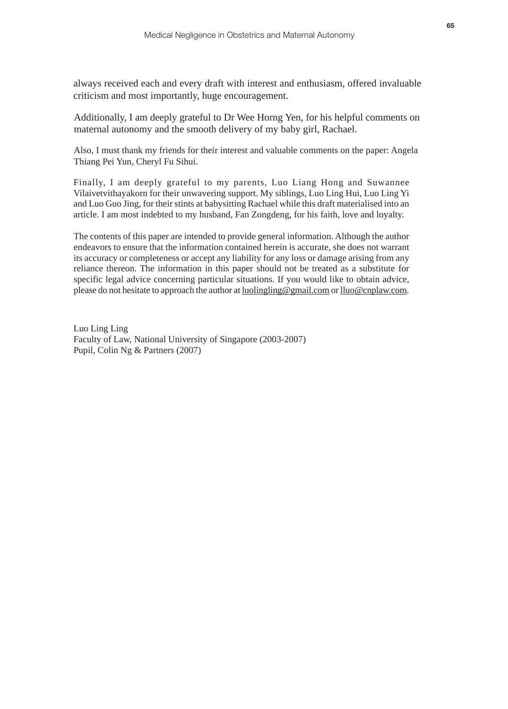always received each and every draft with interest and enthusiasm, offered invaluable criticism and most importantly, huge encouragement.

Additionally, I am deeply grateful to Dr Wee Horng Yen, for his helpful comments on maternal autonomy and the smooth delivery of my baby girl, Rachael.

Also, I must thank my friends for their interest and valuable comments on the paper: Angela Thiang Pei Yun, Cheryl Fu Sihui.

Finally, I am deeply grateful to my parents, Luo Liang Hong and Suwannee Vilaivetvithayakorn for their unwavering support. My siblings, Luo Ling Hui, Luo Ling Yi and Luo Guo Jing, for their stints at babysitting Rachael while this draft materialised into an article. I am most indebted to my husband, Fan Zongdeng, for his faith, love and loyalty.

The contents of this paper are intended to provide general information. Although the author endeavors to ensure that the information contained herein is accurate, she does not warrant its accuracy or completeness or accept any liability for any loss or damage arising from any reliance thereon. The information in this paper should not be treated as a substitute for specific legal advice concerning particular situations. If you would like to obtain advice, please do not hesitate to approach the author at luolingling@gmail.com or lluo@cnplaw.com.

Luo Ling Ling Faculty of Law, National University of Singapore (2003-2007) Pupil, Colin Ng & Partners (2007)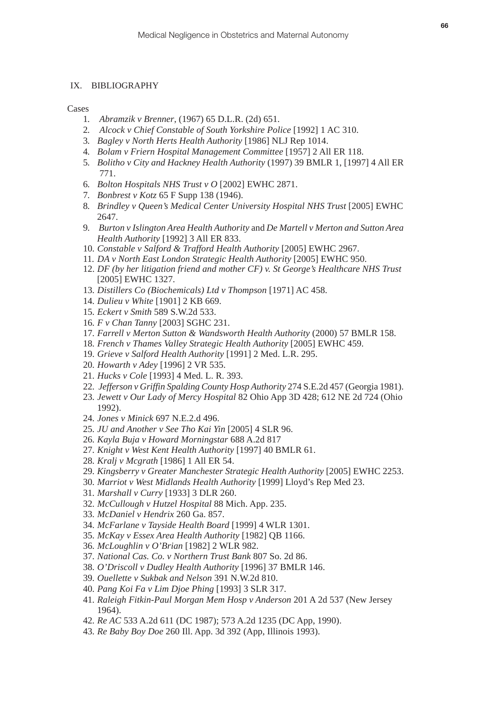# IX. BIBLIOGRAPHY

**Cases** 

- *. Abramzik v Brenner*, (1967) 65 D.L.R. (2d) 651.
- *. Alcock v Chief Constable of South Yorkshire Police* [1992] 1 AC 310.
- *. Bagley v North Herts Health Authority* [1986] NLJ Rep 1014.
- *. Bolam v Friern Hospital Management Committee* [1957] 2 All ER 118.
- *. Bolitho v City and Hackney Health Authority* (1997) 39 BMLR 1, [1997] 4 All ER 771.
- *. Bolton Hospitals NHS Trust v O* [2002] EWHC 2871.
- *. Bonbrest v Kotz* 65 F Supp 138 (1946).
- *. Brindley v Queen's Medical Center University Hospital NHS Trust* [2005] EWHC 2647.
- *. Burton v Islington Area Health Authority* and *De Martell v Merton and Sutton Area Health Authority* [1992] 3 All ER 833.
- *. Constable v Salford & Trafford Health Authority* [2005] EWHC 2967.
- *. DA v North East London Strategic Health Authority* [2005] EWHC 950.
- 12. *DF (by her litigation friend and mother CF) v. St George's Healthcare NHS Trust* [2005] EWHC 1327.
- *. Distillers Co (Biochemicals) Ltd v Thompson* [1971] AC 458.
- *. Dulieu v White* [1901] 2 KB 669.
- *. Eckert v Smith* 589 S.W.2d 533.
- *. F v Chan Tanny* [2003] SGHC 231.
- *. Farrell v Merton Sutton & Wandsworth Health Authority* (2000) 57 BMLR 158.
- *. French v Thames Valley Strategic Health Authority* [2005] EWHC 459.
- *. Grieve v Salford Health Authority* [1991] 2 Med. L.R. 295.
- *. Howarth v Adey* [1996] 2 VR 535.
- *. Hucks v Cole* [1993] 4 Med. L. R. 393.
- *. Jefferson v Griffin Spalding County Hosp Authority* 274 S.E.2d 457 (Georgia 1981).
- *. Jewett v Our Lady of Mercy Hospital* 82 Ohio App 3D 428; 612 NE 2d 724 (Ohio 1992).
- *. Jones v Minick* 697 N.E.2.d 496.
- *. JU and Another v See Tho Kai Yin* [2005] 4 SLR 96.
- *. Kayla Buja v Howard Morningstar* 688 A.2d 817
- *. Knight v West Kent Health Authority* [1997] 40 BMLR 61.
- *. Kralj v Mcgrath* [1986] 1 All ER 54.
- *. Kingsberry v Greater Manchester Strategic Health Authority* [2005] EWHC 2253.
- *. Marriot v West Midlands Health Authority* [1999] Lloyd's Rep Med 23.
- *. Marshall v Curry* [1933] 3 DLR 260.
- *. McCullough v Hutzel Hospital* 88 Mich. App. 235.
- *. McDaniel v Hendrix* 260 Ga. 857.
- *. McFarlane v Tayside Health Board* [1999] 4 WLR 1301.
- *. McKay v Essex Area Health Authority* [1982] QB 1166.
- *. McLoughlin v O'Brian* [1982] 2 WLR 982.
- *. National Cas. Co. v Northern Trust Bank* 807 So. 2d 86.
- *. O'Driscoll v Dudley Health Authority* [1996] 37 BMLR 146.
- *. Ouellette v Sukbak and Nelson* 391 N.W.2d 810.
- *. Pang Koi Fa v Lim Djoe Phing* [1993] 3 SLR 317.
- *. Raleigh Fitkin-Paul Morgan Mem Hosp v Anderson* 201 A 2d 537 (New Jersey 1964).
- *. Re AC* 533 A.2d 611 (DC 1987); 573 A.2d 1235 (DC App, 1990).
- *. Re Baby Boy Doe* 260 Ill. App. 3d 392 (App, Illinois 1993).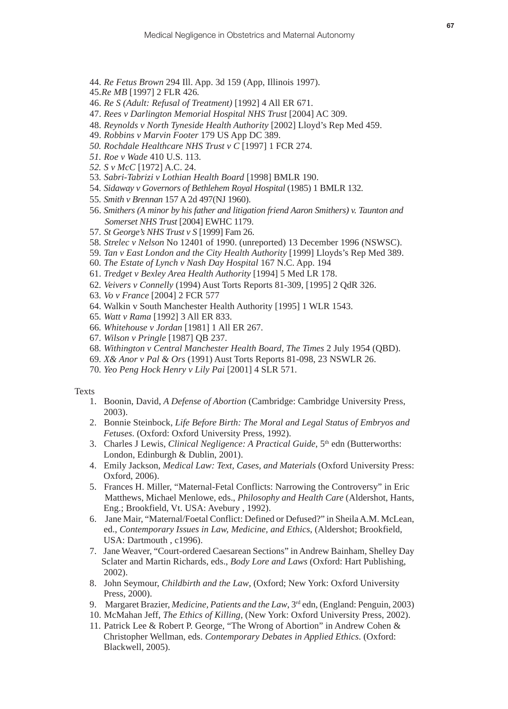- 44. *Re Fetus Brown* 294 Ill. App. 3d 159 (App, Illinois 1997).
- 45.*Re MB* [1997] 2 FLR 426*.*
- 46. *Re S (Adult: Refusal of Treatment)* [1992] 4 All ER 671.
- 47. *Rees v Darlington Memorial Hospital NHS Trust* [2004] AC 309.
- 48. *Reynolds v North Tyneside Health Authority* [2002] Lloyd's Rep Med 459.
- 49. *Robbins v Marvin Footer* 179 US App DC 389.
- *50. Rochdale Healthcare NHS Trust v C* [1997] 1 FCR 274.
- *51. Roe v Wade* 410 U.S. 113.
- *52. S v McC* [1972] A.C. 24.
- 53*. Sabri-Tabrizi v Lothian Health Board* [1998] BMLR 190.
- 54*. Sidaway v Governors of Bethlehem Royal Hospital* (1985) 1 BMLR 132.
- 55*. Smith v Brennan* 157 A 2d 497(NJ 1960).
- 56. *Smithers (A minor by his father and litigation friend Aaron Smithers) v. Taunton and Somerset NHS Trust* [2004] EWHC 1179.
- 57*. St George's NHS Trust v S* [1999] Fam 26.
- 58*. Strelec v Nelson* No 12401 of 1990. (unreported) 13 December 1996 (NSWSC).
- 59*. Tan v East London and the City Health Authority* [1999] Lloyds's Rep Med 389.
- 60*. The Estate of Lynch v Nash Day Hospital* 167 N.C. App. 194
- 61. *Tredget v Bexley Area Health Authority* [1994] 5 Med LR 178.
- 62*. Veivers v Connelly* (1994) Aust Torts Reports 81-309, [1995] 2 QdR 326.
- 63*. Vo v France* [2004] 2 FCR 577
- 64. Walkin v South Manchester Health Authority [1995] 1 WLR 1543.
- 65*. Watt v Rama* [1992] 3 All ER 833.
- 66*. Whitehouse v Jordan* [1981] 1 All ER 267.
- 67*. Wilson v Pringle* [1987] QB 237.
- 68*. Withington v Central Manchester Health Board*, *The Times* 2 July 1954 (QBD).
- 69*. X& Anor v Pal & Ors* (1991) Aust Torts Reports 81-098, 23 NSWLR 26.
- 70*. Yeo Peng Hock Henry v Lily Pai* [2001] 4 SLR 571.

#### Texts

- 1. Boonin, David, *A Defense of Abortion* (Cambridge: Cambridge University Press, 2003).
- 2. Bonnie Steinbock, *Life Before Birth: The Moral and Legal Status of Embryos and Fetuses*. (Oxford: Oxford University Press, 1992).
- 3. Charles J Lewis, *Clinical Negligence: A Practical Guide*, 5th edn (Butterworths: London, Edinburgh & Dublin, 2001).
- 4. Emily Jackson, *Medical Law: Text, Cases, and Materials* (Oxford University Press: Oxford, 2006).
- 5. Frances H. Miller, "Maternal-Fetal Conflicts: Narrowing the Controversy" in Eric Matthews, Michael Menlowe, eds., *Philosophy and Health Care* (Aldershot, Hants, Eng.; Brookfield, Vt. USA: Avebury , 1992).
- 6. Jane Mair, "Maternal/Foetal Conflict: Defined or Defused?" in Sheila A.M. McLean, ed., *Contemporary Issues in Law, Medicine, and Ethics*, (Aldershot; Brookfield, USA: Dartmouth , c1996).
- 7. Jane Weaver, "Court-ordered Caesarean Sections" in Andrew Bainham, Shelley Day Sclater and Martin Richards, eds., *Body Lore and Laws* (Oxford: Hart Publishing, 2002).
- 8. John Seymour, *Childbirth and the Law*, (Oxford; New York: Oxford University Press, 2000).
- 9. Margaret Brazier, *Medicine, Patients and the Law*, 3rd edn, (England: Penguin, 2003)
- 10. McMahan Jeff, *The Ethics of Killing,* (New York: Oxford University Press, 2002).
- 11. Patrick Lee & Robert P. George, "The Wrong of Abortion" in Andrew Cohen & Christopher Wellman, eds. *Contemporary Debates in Applied Ethics*. (Oxford: Blackwell, 2005).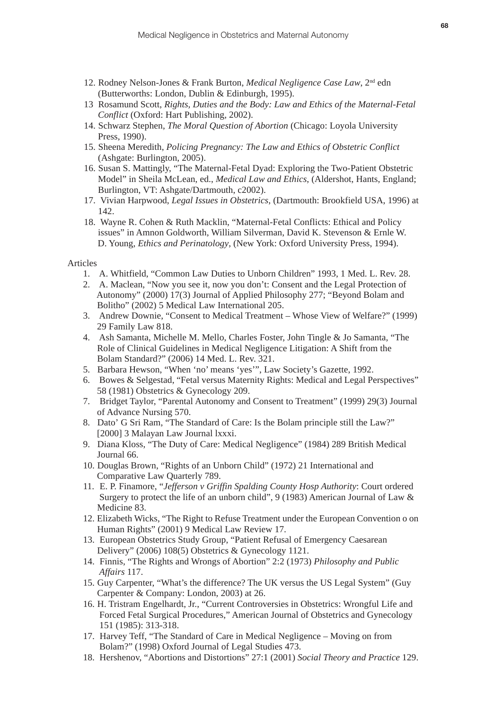- 12. Rodney Nelson-Jones & Frank Burton, *Medical Negligence Case Law*, 2nd edn (Butterworths: London, Dublin & Edinburgh, 1995).
- 13 Rosamund Scott, *Rights, Duties and the Body: Law and Ethics of the Maternal-Fetal Conflict* (Oxford: Hart Publishing, 2002).
- 14. Schwarz Stephen, *The Moral Question of Abortion* (Chicago: Loyola University Press, 1990).
- 15. Sheena Meredith, *Policing Pregnancy: The Law and Ethics of Obstetric Conflict* (Ashgate: Burlington, 2005).
- 16. Susan S. Mattingly, "The Maternal-Fetal Dyad: Exploring the Two-Patient Obstetric Model" in Sheila McLean, ed., *Medical Law and Ethics*, (Aldershot, Hants, England; Burlington, VT: Ashgate/Dartmouth, c2002).
- 17. Vivian Harpwood, *Legal Issues in Obstetrics*, (Dartmouth: Brookfield USA, 1996) at 142.
- 18. Wayne R. Cohen & Ruth Macklin, "Maternal-Fetal Conflicts: Ethical and Policy issues" in Amnon Goldworth, William Silverman, David K. Stevenson & Ernle W. D. Young, *Ethics and Perinatology*, (New York: Oxford University Press, 1994).

#### Articles

- 1. A. Whitfield, "Common Law Duties to Unborn Children" 1993, 1 Med. L. Rev. 28.
- 2. A. Maclean, "Now you see it, now you don't: Consent and the Legal Protection of Autonomy" (2000) 17(3) Journal of Applied Philosophy 277; "Beyond Bolam and Bolitho" (2002) 5 Medical Law International 205.
- 3. Andrew Downie, "Consent to Medical Treatment Whose View of Welfare?" (1999) 29 Family Law 818.
- 4. Ash Samanta, Michelle M. Mello, Charles Foster, John Tingle & Jo Samanta, "The Role of Clinical Guidelines in Medical Negligence Litigation: A Shift from the Bolam Standard?" (2006) 14 Med. L. Rev. 321.
- 5. Barbara Hewson, "When 'no' means 'yes'", Law Society's Gazette, 1992.
- 6. Bowes & Selgestad, "Fetal versus Maternity Rights: Medical and Legal Perspectives" 58 (1981) Obstetrics & Gynecology 209.
- 7. Bridget Taylor, "Parental Autonomy and Consent to Treatment" (1999) 29(3) Journal of Advance Nursing 570.
- 8. Dato' G Sri Ram, "The Standard of Care: Is the Bolam principle still the Law?" [2000] 3 Malayan Law Journal lxxxi.
- 9. Diana Kloss, "The Duty of Care: Medical Negligence" (1984) 289 British Medical Journal 66.
- 10. Douglas Brown, "Rights of an Unborn Child" (1972) 21 International and Comparative Law Quarterly 789.
- 11. E. P. Finamore, "*Jefferson v Griffin Spalding County Hosp Authority*: Court ordered Surgery to protect the life of an unborn child", 9 (1983) American Journal of Law & Medicine 83.
- 12. Elizabeth Wicks, "The Right to Refuse Treatment under the European Convention o on Human Rights" (2001) 9 Medical Law Review 17.
- 13. European Obstetrics Study Group, "Patient Refusal of Emergency Caesarean Delivery" (2006) 108(5) Obstetrics & Gynecology 1121.
- 14. Finnis, "The Rights and Wrongs of Abortion" 2:2 (1973) *Philosophy and Public Affairs* 117.
- 15. Guy Carpenter, "What's the difference? The UK versus the US Legal System" (Guy Carpenter & Company: London, 2003) at 26.
- 16. H. Tristram Engelhardt, Jr., "Current Controversies in Obstetrics: Wrongful Life and Forced Fetal Surgical Procedures," American Journal of Obstetrics and Gynecology 151 (1985): 313-318.
- 17. Harvey Teff, "The Standard of Care in Medical Negligence Moving on from Bolam?" (1998) Oxford Journal of Legal Studies 473.
- 18. Hershenov, "Abortions and Distortions" 27:1 (2001) *Social Theory and Practice* 129.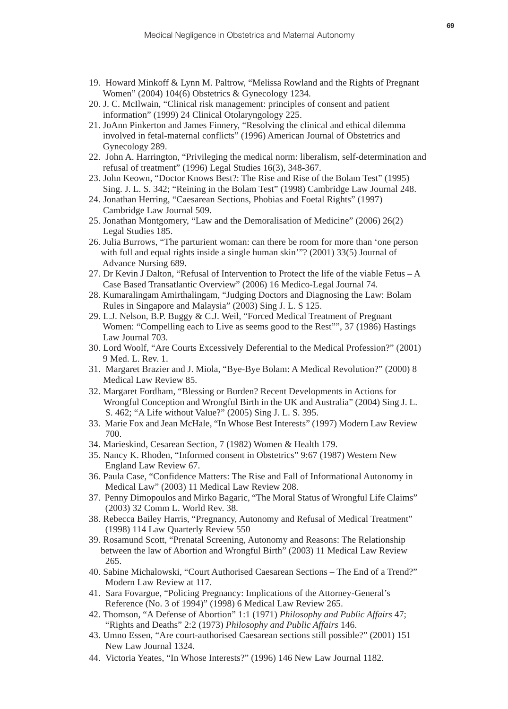- 19. Howard Minkoff & Lynn M. Paltrow, "Melissa Rowland and the Rights of Pregnant Women" (2004) 104(6) Obstetrics & Gynecology 1234.
- 20. J. C. McIlwain, "Clinical risk management: principles of consent and patient information" (1999) 24 Clinical Otolaryngology 225.
- 21. JoAnn Pinkerton and James Finnery, "Resolving the clinical and ethical dilemma involved in fetal-maternal conflicts" (1996) American Journal of Obstetrics and Gynecology 289.
- 22. John A. Harrington, "Privileging the medical norm: liberalism, self-determination and refusal of treatment" (1996) Legal Studies 16(3), 348-367.
- 23. John Keown, "Doctor Knows Best?: The Rise and Rise of the Bolam Test" (1995) Sing. J. L. S. 342; "Reining in the Bolam Test" (1998) Cambridge Law Journal 248.
- 24. Jonathan Herring, "Caesarean Sections, Phobias and Foetal Rights" (1997) Cambridge Law Journal 509.
- 25. Jonathan Montgomery, "Law and the Demoralisation of Medicine" (2006) 26(2) Legal Studies 185.
- 26. Julia Burrows, "The parturient woman: can there be room for more than 'one person with full and equal rights inside a single human skin'"? (2001) 33(5) Journal of Advance Nursing 689.
- 27. Dr Kevin J Dalton, "Refusal of Intervention to Protect the life of the viable Fetus A Case Based Transatlantic Overview" (2006) 16 Medico-Legal Journal 74.
- 28. Kumaralingam Amirthalingam, "Judging Doctors and Diagnosing the Law: Bolam Rules in Singapore and Malaysia" (2003) Sing J. L. S 125.
- 29. L.J. Nelson, B.P. Buggy & C.J. Weil, "Forced Medical Treatment of Pregnant Women: "Compelling each to Live as seems good to the Rest"", 37 (1986) Hastings Law Journal 703.
- 30. Lord Woolf, "Are Courts Excessively Deferential to the Medical Profession?" (2001) 9 Med. L. Rev. 1.
- 31. Margaret Brazier and J. Miola, "Bye-Bye Bolam: A Medical Revolution?" (2000) 8 Medical Law Review 85.
- 32. Margaret Fordham, "Blessing or Burden? Recent Developments in Actions for Wrongful Conception and Wrongful Birth in the UK and Australia" (2004) Sing J. L. S. 462; "A Life without Value?" (2005) Sing J. L. S. 395.
- 33. Marie Fox and Jean McHale, "In Whose Best Interests" (1997) Modern Law Review 700.
- 34. Marieskind, Cesarean Section, 7 (1982) Women & Health 179.
- 35. Nancy K. Rhoden, "Informed consent in Obstetrics" 9:67 (1987) Western New England Law Review 67.
- 36. Paula Case, "Confidence Matters: The Rise and Fall of Informational Autonomy in Medical Law" (2003) 11 Medical Law Review 208.
- 37. Penny Dimopoulos and Mirko Bagaric, "The Moral Status of Wrongful Life Claims" (2003) 32 Comm L. World Rev. 38.
- 38. Rebecca Bailey Harris, "Pregnancy, Autonomy and Refusal of Medical Treatment" (1998) 114 Law Quarterly Review 550
- 39. Rosamund Scott, "Prenatal Screening, Autonomy and Reasons: The Relationship between the law of Abortion and Wrongful Birth" (2003) 11 Medical Law Review 265.
- 40. Sabine Michalowski, "Court Authorised Caesarean Sections The End of a Trend?" Modern Law Review at 117.
- 41. Sara Fovargue, "Policing Pregnancy: Implications of the Attorney-General's Reference (No. 3 of 1994)" (1998) 6 Medical Law Review 265.
- 42. Thomson, "A Defense of Abortion" 1:1 (1971) *Philosophy and Public Affairs* 47; "Rights and Deaths" 2:2 (1973) *Philosophy and Public Affairs* 146.
- 43. Umno Essen, "Are court-authorised Caesarean sections still possible?" (2001) 151 New Law Journal 1324.
- 44. Victoria Yeates, "In Whose Interests?" (1996) 146 New Law Journal 1182.